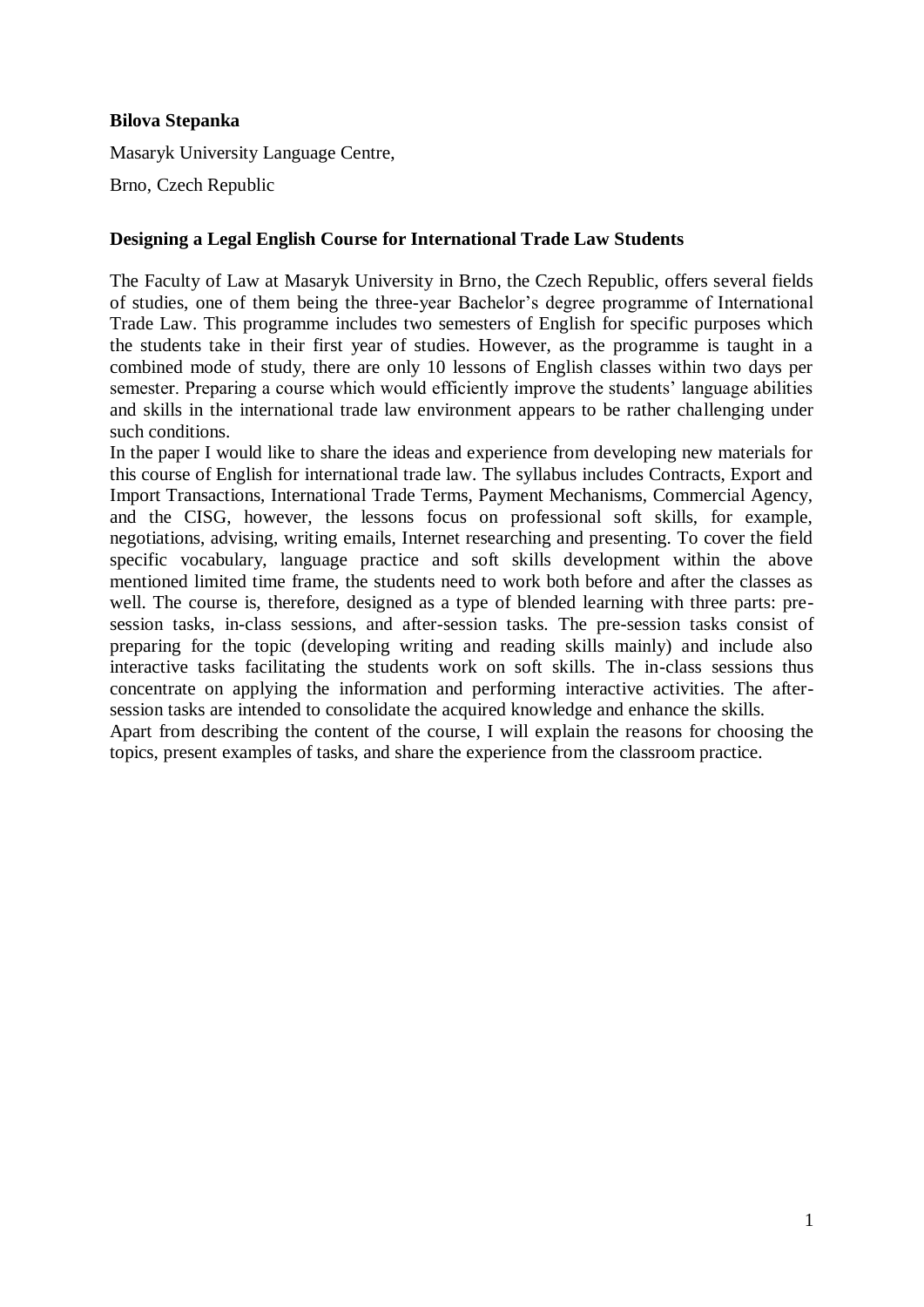## **Bilova Stepanka**

Masaryk University Language Centre,

Brno, Czech Republic

## **Designing a Legal English Course for International Trade Law Students**

The Faculty of Law at Masaryk University in Brno, the Czech Republic, offers several fields of studies, one of them being the three-year Bachelor's degree programme of International Trade Law. This programme includes two semesters of English for specific purposes which the students take in their first year of studies. However, as the programme is taught in a combined mode of study, there are only 10 lessons of English classes within two days per semester. Preparing a course which would efficiently improve the students' language abilities and skills in the international trade law environment appears to be rather challenging under such conditions.

In the paper I would like to share the ideas and experience from developing new materials for this course of English for international trade law. The syllabus includes Contracts, Export and Import Transactions, International Trade Terms, Payment Mechanisms, Commercial Agency, and the CISG, however, the lessons focus on professional soft skills, for example, negotiations, advising, writing emails, Internet researching and presenting. To cover the field specific vocabulary, language practice and soft skills development within the above mentioned limited time frame, the students need to work both before and after the classes as well. The course is, therefore, designed as a type of blended learning with three parts: presession tasks, in-class sessions, and after-session tasks. The pre-session tasks consist of preparing for the topic (developing writing and reading skills mainly) and include also interactive tasks facilitating the students work on soft skills. The in-class sessions thus concentrate on applying the information and performing interactive activities. The aftersession tasks are intended to consolidate the acquired knowledge and enhance the skills.

Apart from describing the content of the course, I will explain the reasons for choosing the topics, present examples of tasks, and share the experience from the classroom practice.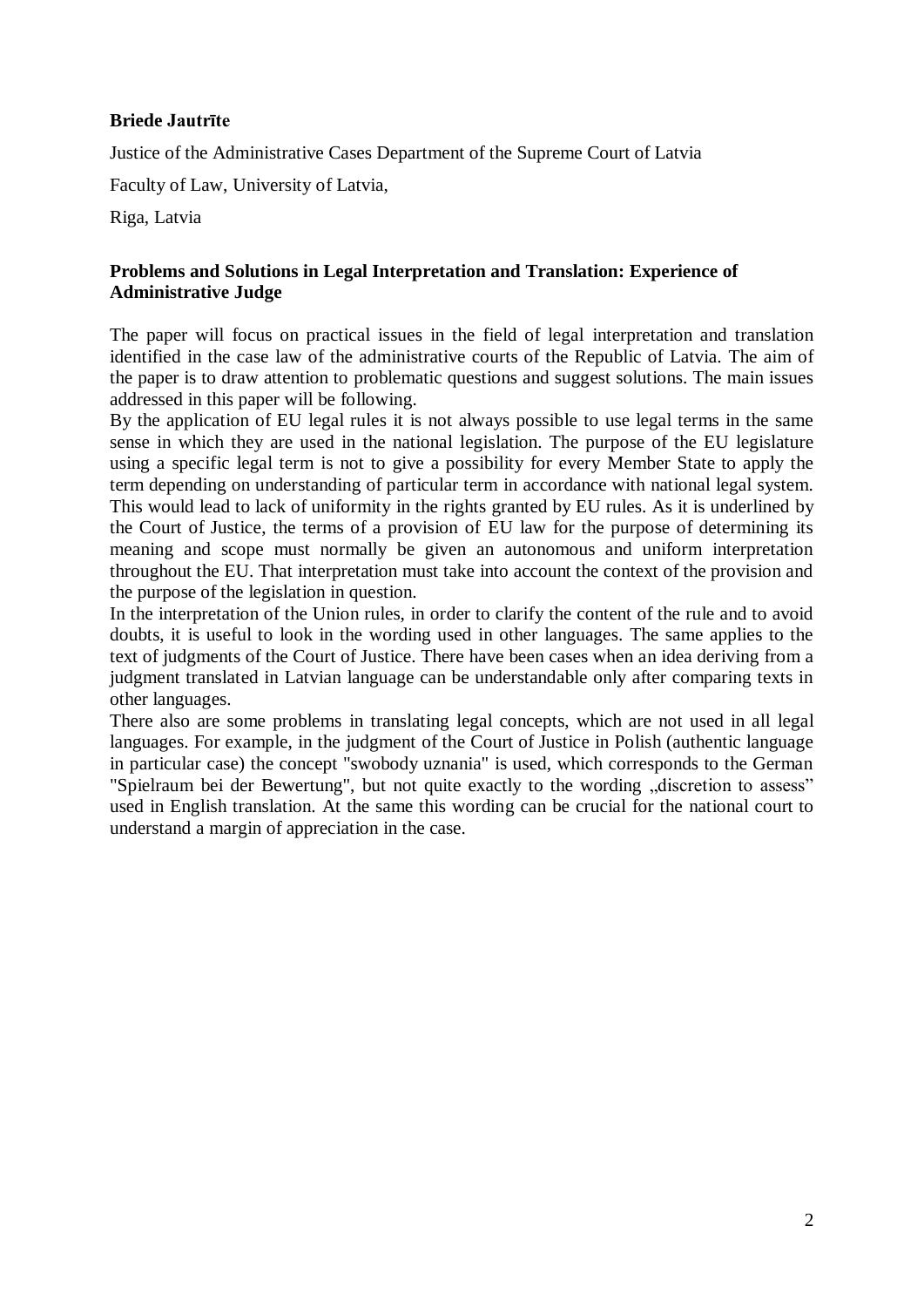# **Briede Jautrīte**

Justice of the Administrative Cases Department of the Supreme Court of Latvia

Faculty of Law, University of Latvia,

Riga, Latvia

# **Problems and Solutions in Legal Interpretation and Translation: Experience of Administrative Judge**

The paper will focus on practical issues in the field of legal interpretation and translation identified in the case law of the administrative courts of the Republic of Latvia. The aim of the paper is to draw attention to problematic questions and suggest solutions. The main issues addressed in this paper will be following.

By the application of EU legal rules it is not always possible to use legal terms in the same sense in which they are used in the national legislation. The purpose of the EU legislature using a specific legal term is not to give a possibility for every Member State to apply the term depending on understanding of particular term in accordance with national legal system. This would lead to lack of uniformity in the rights granted by EU rules. As it is underlined by the Court of Justice, the terms of a provision of EU law for the purpose of determining its meaning and scope must normally be given an autonomous and uniform interpretation throughout the EU. That interpretation must take into account the context of the provision and the purpose of the legislation in question.

In the interpretation of the Union rules, in order to clarify the content of the rule and to avoid doubts, it is useful to look in the wording used in other languages. The same applies to the text of judgments of the Court of Justice. There have been cases when an idea deriving from a judgment translated in Latvian language can be understandable only after comparing texts in other languages.

There also are some problems in translating legal concepts, which are not used in all legal languages. For example, in the judgment of the Court of Justice in Polish (authentic language in particular case) the concept "swobody uznania" is used, which corresponds to the German "Spielraum bei der Bewertung", but not quite exactly to the wording "discretion to assess" used in English translation. At the same this wording can be crucial for the national court to understand a margin of appreciation in the case.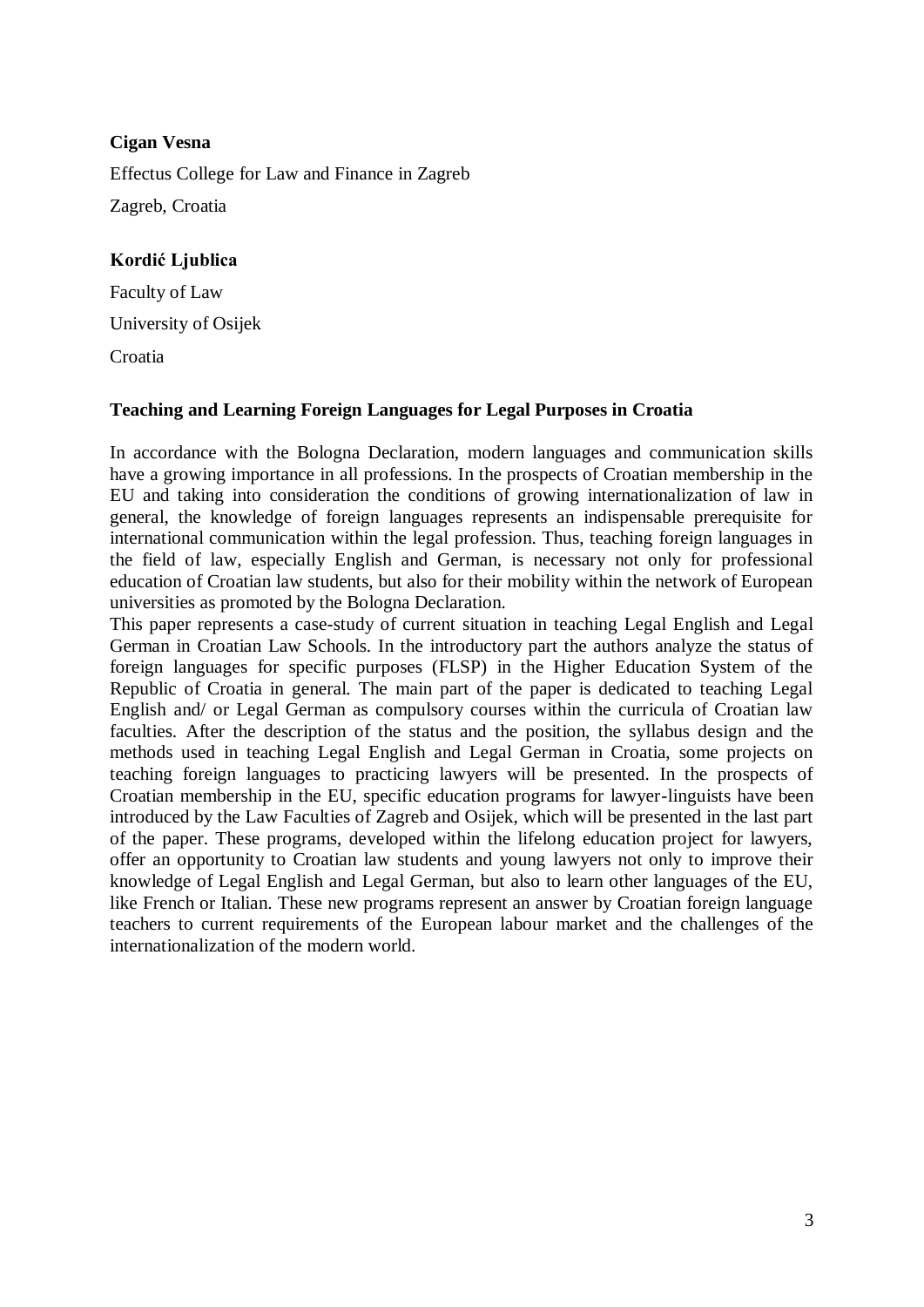# **Cigan Vesna** Effectus College for Law and Finance in Zagreb Zagreb, Croatia

# **Kordić Ljublica**

Faculty of Law University of Osijek Croatia

# **Teaching and Learning Foreign Languages for Legal Purposes in Croatia**

In accordance with the Bologna Declaration, modern languages and communication skills have a growing importance in all professions. In the prospects of Croatian membership in the EU and taking into consideration the conditions of growing internationalization of law in general, the knowledge of foreign languages represents an indispensable prerequisite for international communication within the legal profession. Thus, teaching foreign languages in the field of law, especially English and German, is necessary not only for professional education of Croatian law students, but also for their mobility within the network of European universities as promoted by the Bologna Declaration.

This paper represents a case-study of current situation in teaching Legal English and Legal German in Croatian Law Schools. In the introductory part the authors analyze the status of foreign languages for specific purposes (FLSP) in the Higher Education System of the Republic of Croatia in general. The main part of the paper is dedicated to teaching Legal English and/ or Legal German as compulsory courses within the curricula of Croatian law faculties. After the description of the status and the position, the syllabus design and the methods used in teaching Legal English and Legal German in Croatia, some projects on teaching foreign languages to practicing lawyers will be presented. In the prospects of Croatian membership in the EU, specific education programs for lawyer-linguists have been introduced by the Law Faculties of Zagreb and Osijek, which will be presented in the last part of the paper. These programs, developed within the lifelong education project for lawyers, offer an opportunity to Croatian law students and young lawyers not only to improve their knowledge of Legal English and Legal German, but also to learn other languages of the EU, like French or Italian. These new programs represent an answer by Croatian foreign language teachers to current requirements of the European labour market and the challenges of the internationalization of the modern world.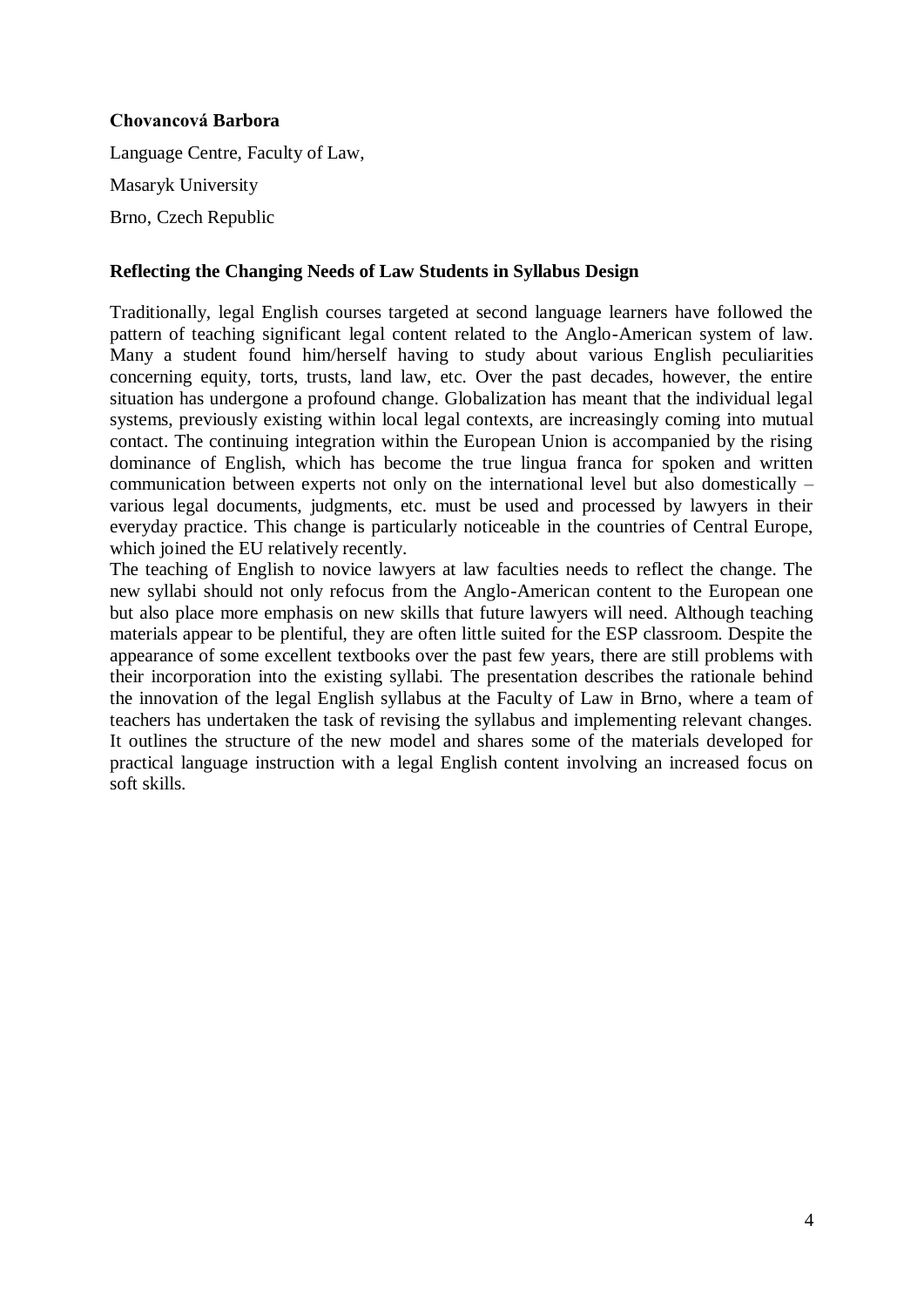## **Chovancová Barbora**

Language Centre, Faculty of Law, Masaryk University Brno, Czech Republic

## **Reflecting the Changing Needs of Law Students in Syllabus Design**

Traditionally, legal English courses targeted at second language learners have followed the pattern of teaching significant legal content related to the Anglo-American system of law. Many a student found him/herself having to study about various English peculiarities concerning equity, torts, trusts, land law, etc. Over the past decades, however, the entire situation has undergone a profound change. Globalization has meant that the individual legal systems, previously existing within local legal contexts, are increasingly coming into mutual contact. The continuing integration within the European Union is accompanied by the rising dominance of English, which has become the true lingua franca for spoken and written communication between experts not only on the international level but also domestically – various legal documents, judgments, etc. must be used and processed by lawyers in their everyday practice. This change is particularly noticeable in the countries of Central Europe, which joined the EU relatively recently.

The teaching of English to novice lawyers at law faculties needs to reflect the change. The new syllabi should not only refocus from the Anglo-American content to the European one but also place more emphasis on new skills that future lawyers will need. Although teaching materials appear to be plentiful, they are often little suited for the ESP classroom. Despite the appearance of some excellent textbooks over the past few years, there are still problems with their incorporation into the existing syllabi. The presentation describes the rationale behind the innovation of the legal English syllabus at the Faculty of Law in Brno, where a team of teachers has undertaken the task of revising the syllabus and implementing relevant changes. It outlines the structure of the new model and shares some of the materials developed for practical language instruction with a legal English content involving an increased focus on soft skills.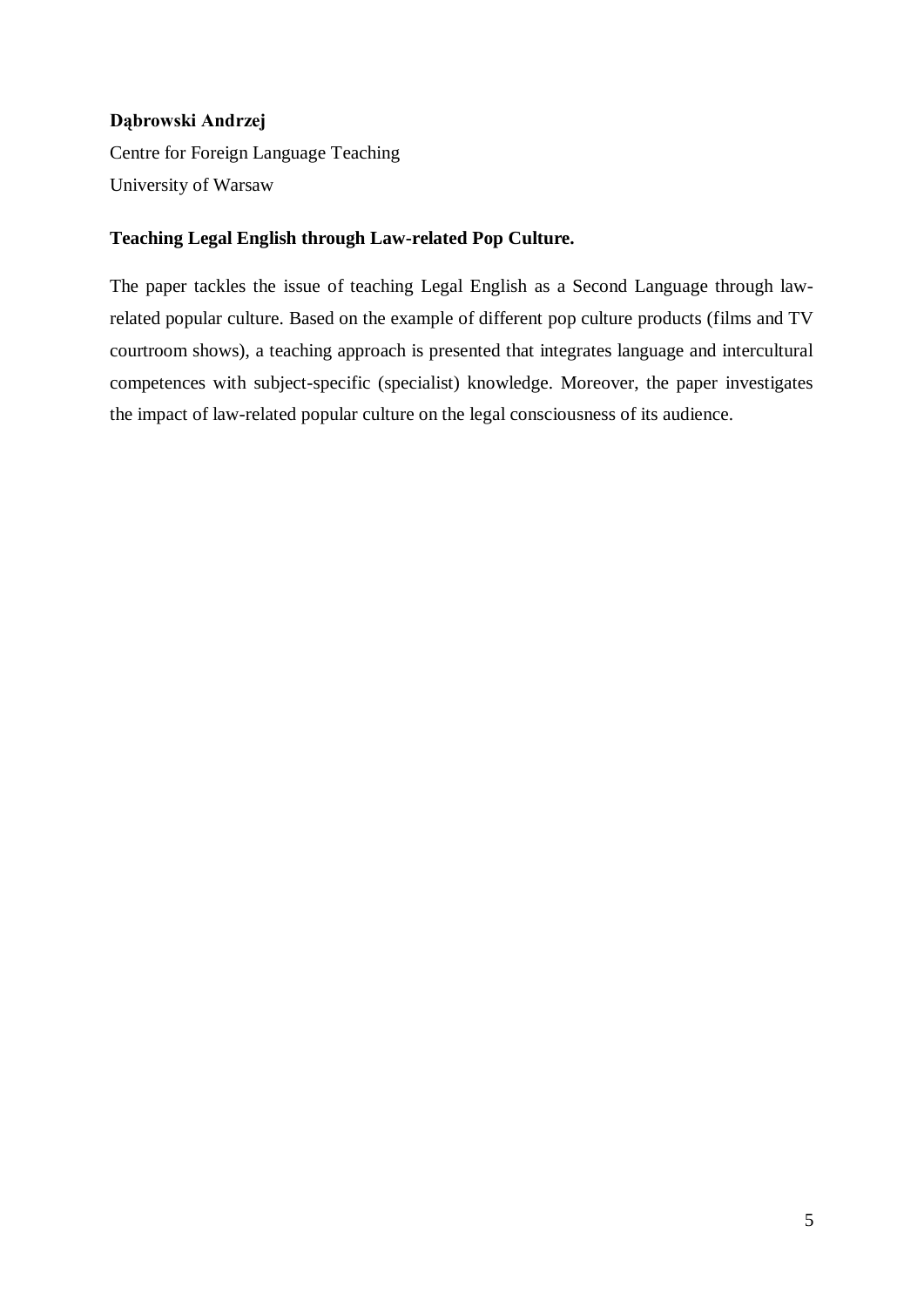# **Dąbrowski Andrzej**

Centre for Foreign Language Teaching University of Warsaw

# **Teaching Legal English through Law-related Pop Culture.**

The paper tackles the issue of teaching Legal English as a Second Language through lawrelated popular culture. Based on the example of different pop culture products (films and TV courtroom shows), a teaching approach is presented that integrates language and intercultural competences with subject-specific (specialist) knowledge. Moreover, the paper investigates the impact of law-related popular culture on the legal consciousness of its audience.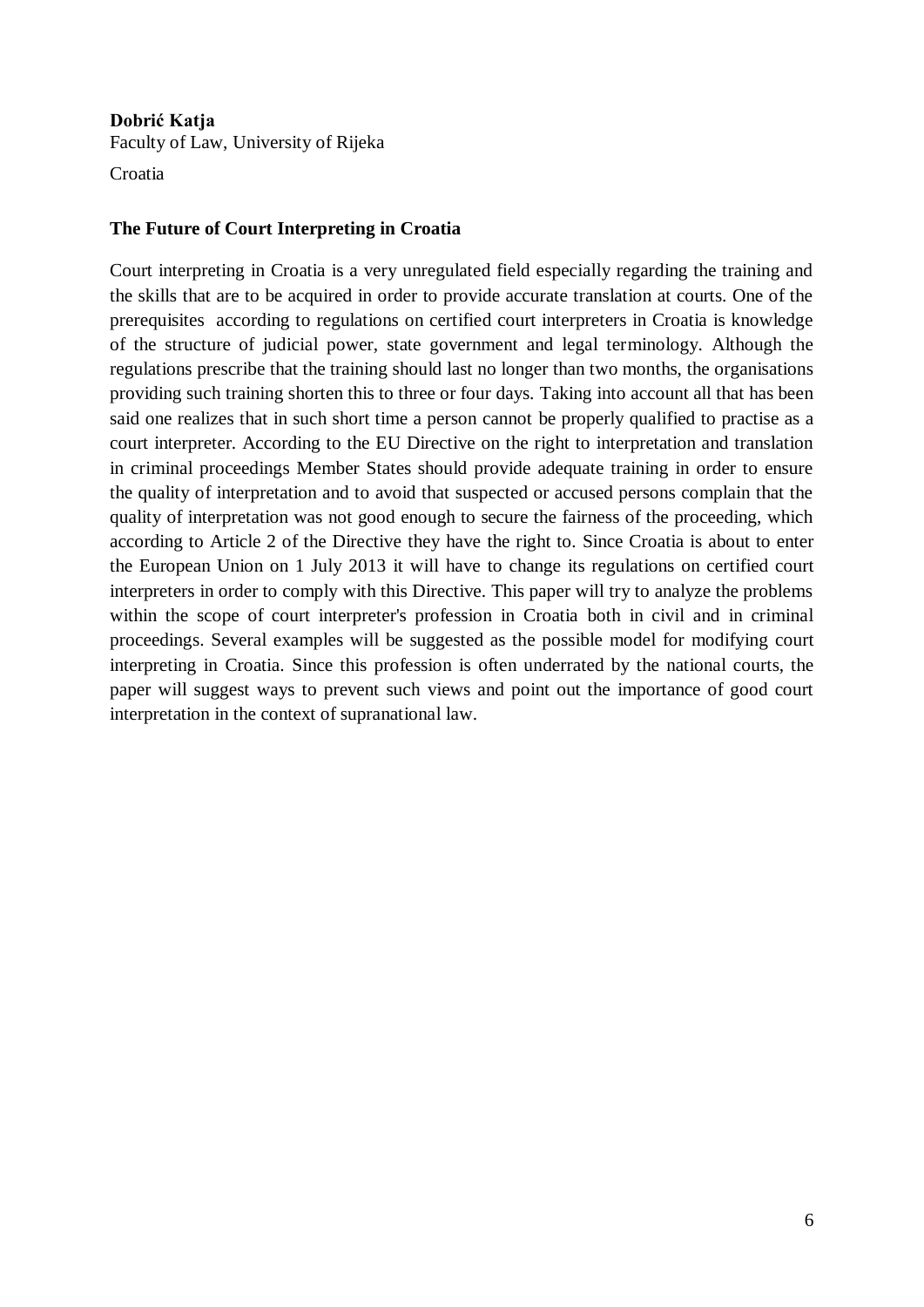# **Dobrić Katja**

Faculty of Law, University of Rijeka

Croatia

# **The Future of Court Interpreting in Croatia**

Court interpreting in Croatia is a very unregulated field especially regarding the training and the skills that are to be acquired in order to provide accurate translation at courts. One of the prerequisites according to regulations on certified court interpreters in Croatia is knowledge of the structure of judicial power, state government and legal terminology. Although the regulations prescribe that the training should last no longer than two months, the organisations providing such training shorten this to three or four days. Taking into account all that has been said one realizes that in such short time a person cannot be properly qualified to practise as a court interpreter. According to the EU Directive on the right to interpretation and translation in criminal proceedings Member States should provide adequate training in order to ensure the quality of interpretation and to avoid that suspected or accused persons complain that the quality of interpretation was not good enough to secure the fairness of the proceeding, which according to Article 2 of the Directive they have the right to. Since Croatia is about to enter the European Union on 1 July 2013 it will have to change its regulations on certified court interpreters in order to comply with this Directive. This paper will try to analyze the problems within the scope of court interpreter's profession in Croatia both in civil and in criminal proceedings. Several examples will be suggested as the possible model for modifying court interpreting in Croatia. Since this profession is often underrated by the national courts, the paper will suggest ways to prevent such views and point out the importance of good court interpretation in the context of supranational law.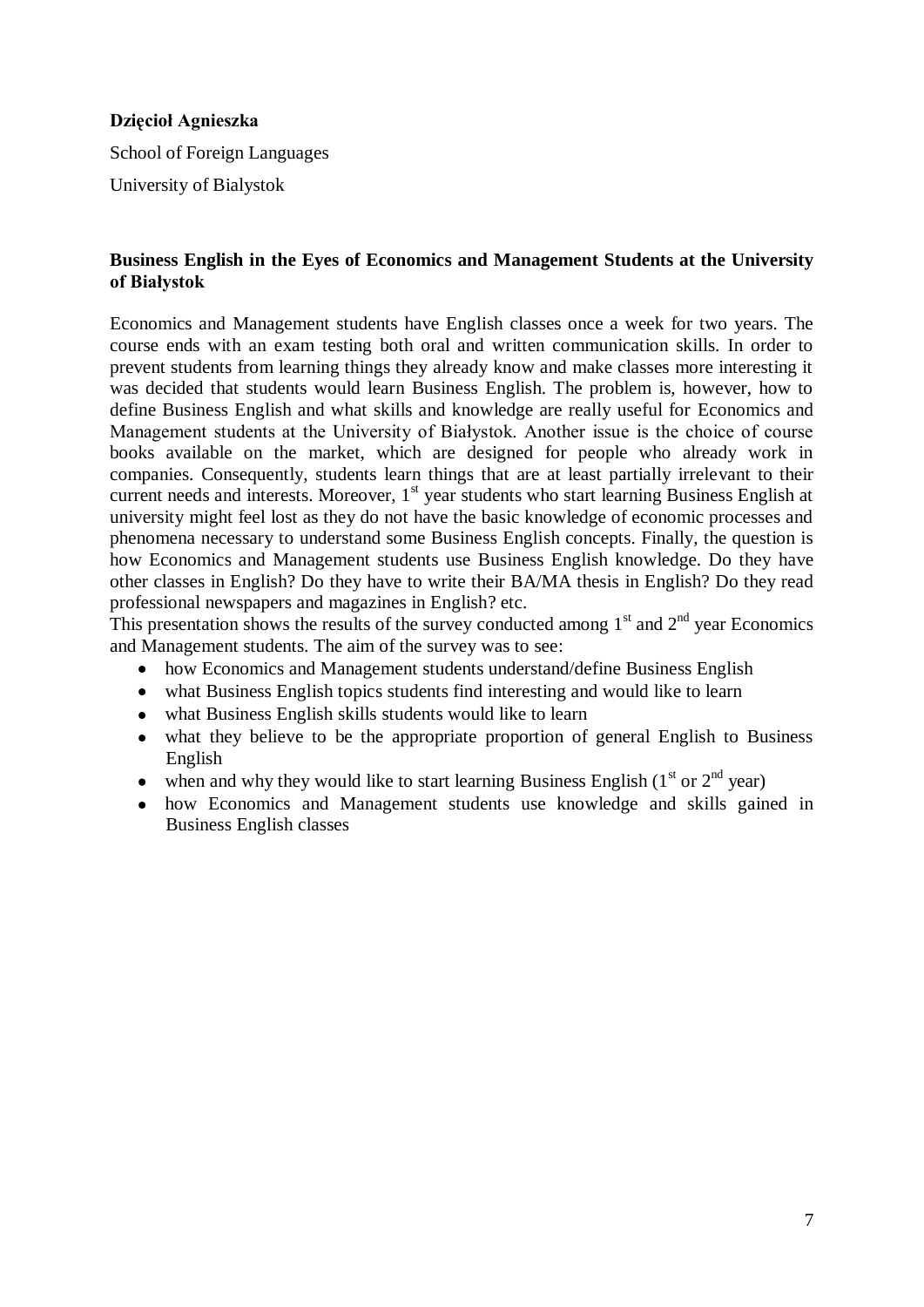## **Dzięcioł Agnieszka**

School of Foreign Languages

University of Bialystok

## **Business English in the Eyes of Economics and Management Students at the University of Białystok**

Economics and Management students have English classes once a week for two years. The course ends with an exam testing both oral and written communication skills. In order to prevent students from learning things they already know and make classes more interesting it was decided that students would learn Business English. The problem is, however, how to define Business English and what skills and knowledge are really useful for Economics and Management students at the University of Białystok. Another issue is the choice of course books available on the market, which are designed for people who already work in companies. Consequently, students learn things that are at least partially irrelevant to their current needs and interests. Moreover, 1<sup>st</sup> year students who start learning Business English at university might feel lost as they do not have the basic knowledge of economic processes and phenomena necessary to understand some Business English concepts. Finally, the question is how Economics and Management students use Business English knowledge. Do they have other classes in English? Do they have to write their BA/MA thesis in English? Do they read professional newspapers and magazines in English? etc.

This presentation shows the results of the survey conducted among  $1<sup>st</sup>$  and  $2<sup>nd</sup>$  year Economics and Management students. The aim of the survey was to see:

- how Economics and Management students understand/define Business English
- what Business English topics students find interesting and would like to learn
- what Business English skills students would like to learn
- what they believe to be the appropriate proportion of general English to Business English
- when and why they would like to start learning Business English ( $1<sup>st</sup>$  or  $2<sup>nd</sup>$  year)
- how Economics and Management students use knowledge and skills gained in Business English classes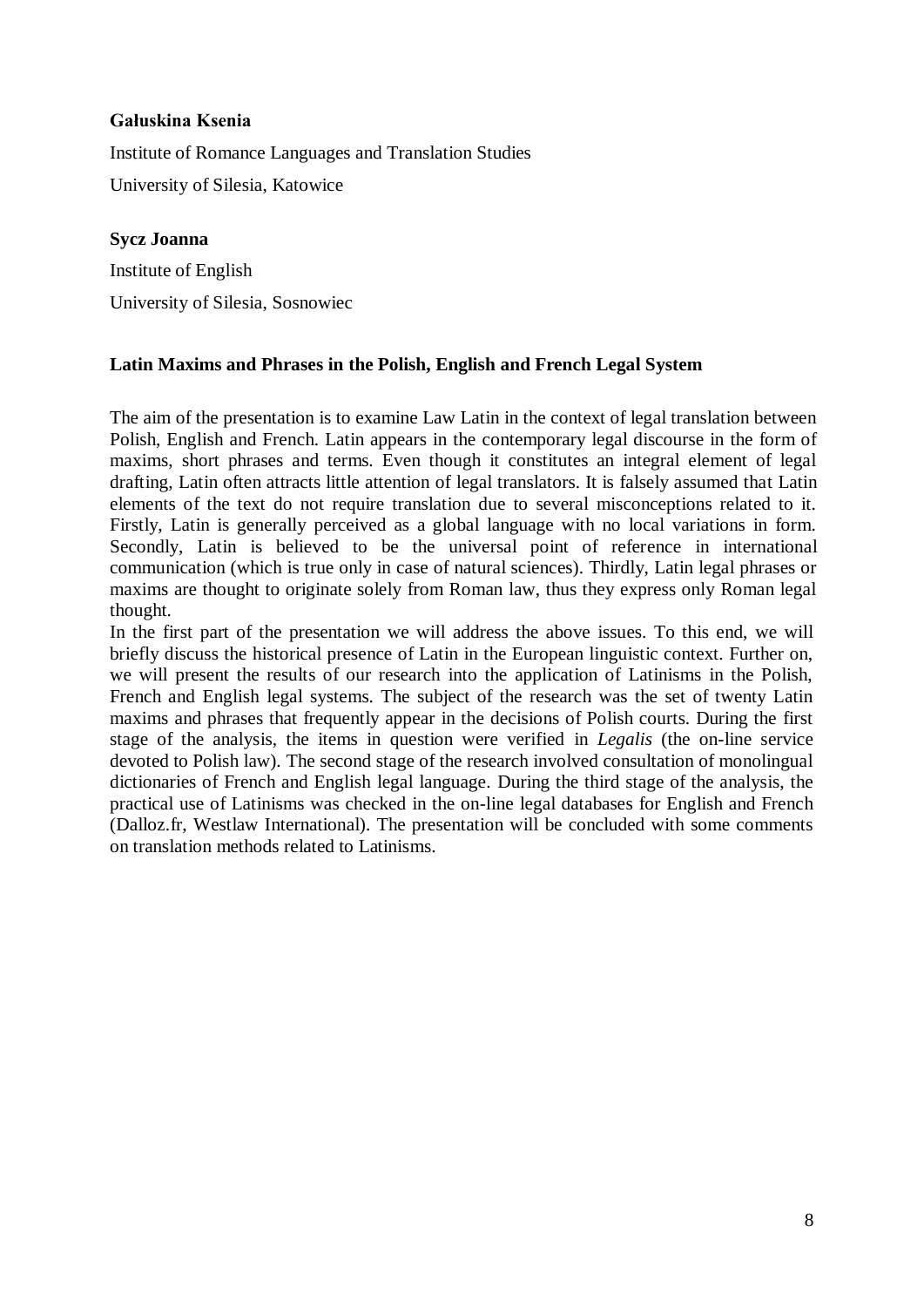# **Gałuskina Ksenia**

Institute of Romance Languages and Translation Studies University of Silesia, Katowice

# **Sycz Joanna**

Institute of English University of Silesia, Sosnowiec

# **Latin Maxims and Phrases in the Polish, English and French Legal System**

The aim of the presentation is to examine Law Latin in the context of legal translation between Polish, English and French. Latin appears in the contemporary legal discourse in the form of maxims, short phrases and terms. Even though it constitutes an integral element of legal drafting, Latin often attracts little attention of legal translators. It is falsely assumed that Latin elements of the text do not require translation due to several misconceptions related to it. Firstly, Latin is generally perceived as a global language with no local variations in form. Secondly, Latin is believed to be the universal point of reference in international communication (which is true only in case of natural sciences). Thirdly, Latin legal phrases or maxims are thought to originate solely from Roman law, thus they express only Roman legal thought.

In the first part of the presentation we will address the above issues. To this end, we will briefly discuss the historical presence of Latin in the European linguistic context. Further on, we will present the results of our research into the application of Latinisms in the Polish, French and English legal systems. The subject of the research was the set of twenty Latin maxims and phrases that frequently appear in the decisions of Polish courts. During the first stage of the analysis, the items in question were verified in *Legalis* (the on-line service devoted to Polish law)*.* The second stage of the research involved consultation of monolingual dictionaries of French and English legal language. During the third stage of the analysis, the practical use of Latinisms was checked in the on-line legal databases for English and French (Dalloz.fr, Westlaw International). The presentation will be concluded with some comments on translation methods related to Latinisms.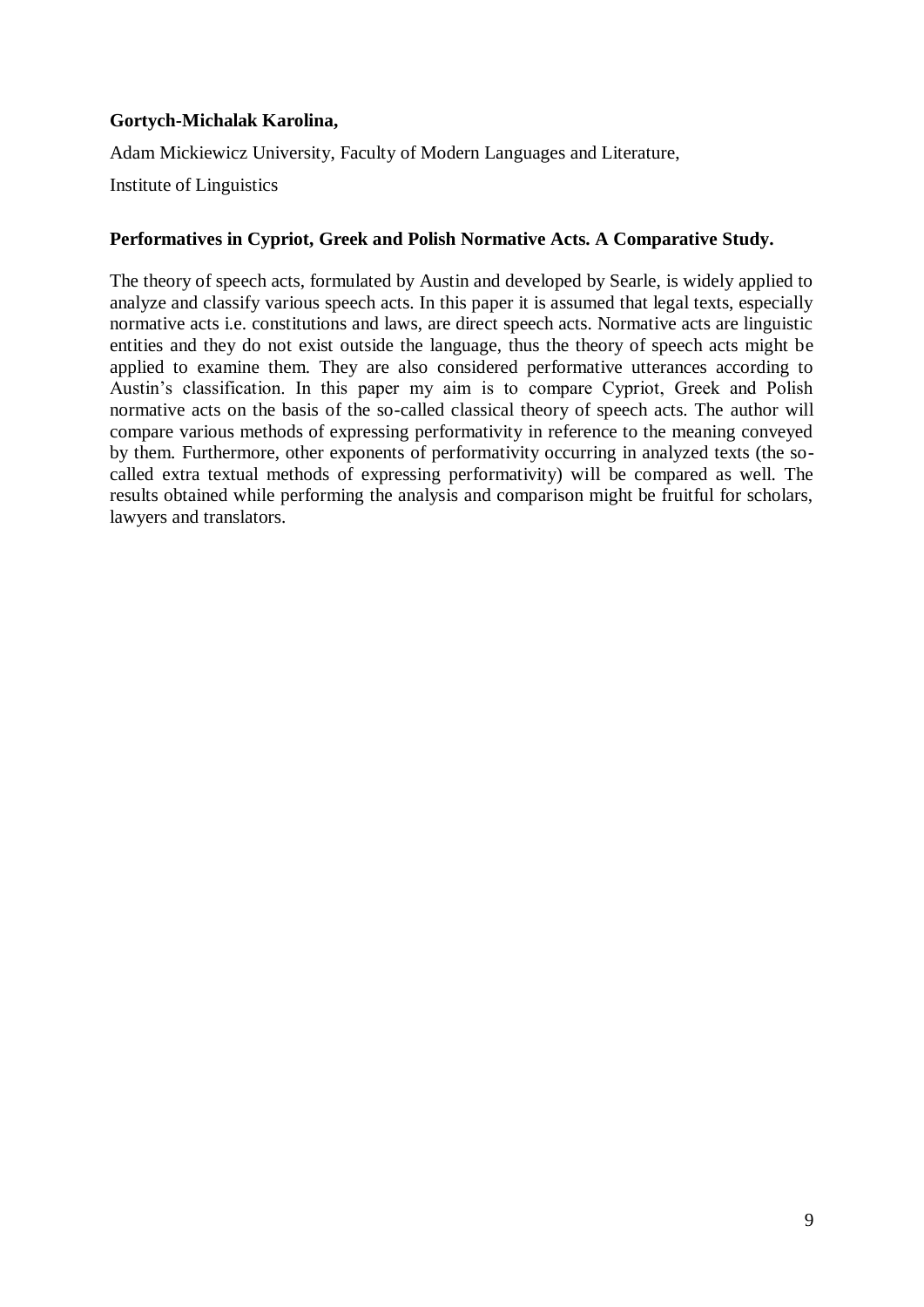# **Gortych-Michalak Karolina,**

Adam Mickiewicz University, Faculty of Modern Languages and Literature,

Institute of Linguistics

# **Performatives in Cypriot, Greek and Polish Normative Acts. A Comparative Study.**

The theory of speech acts, formulated by Austin and developed by Searle, is widely applied to analyze and classify various speech acts. In this paper it is assumed that legal texts, especially normative acts i.e. constitutions and laws, are direct speech acts. Normative acts are linguistic entities and they do not exist outside the language, thus the theory of speech acts might be applied to examine them. They are also considered performative utterances according to Austin's classification. In this paper my aim is to compare Cypriot, Greek and Polish normative acts on the basis of the so-called classical theory of speech acts. The author will compare various methods of expressing performativity in reference to the meaning conveyed by them. Furthermore, other exponents of performativity occurring in analyzed texts (the socalled extra textual methods of expressing performativity) will be compared as well. The results obtained while performing the analysis and comparison might be fruitful for scholars, lawyers and translators.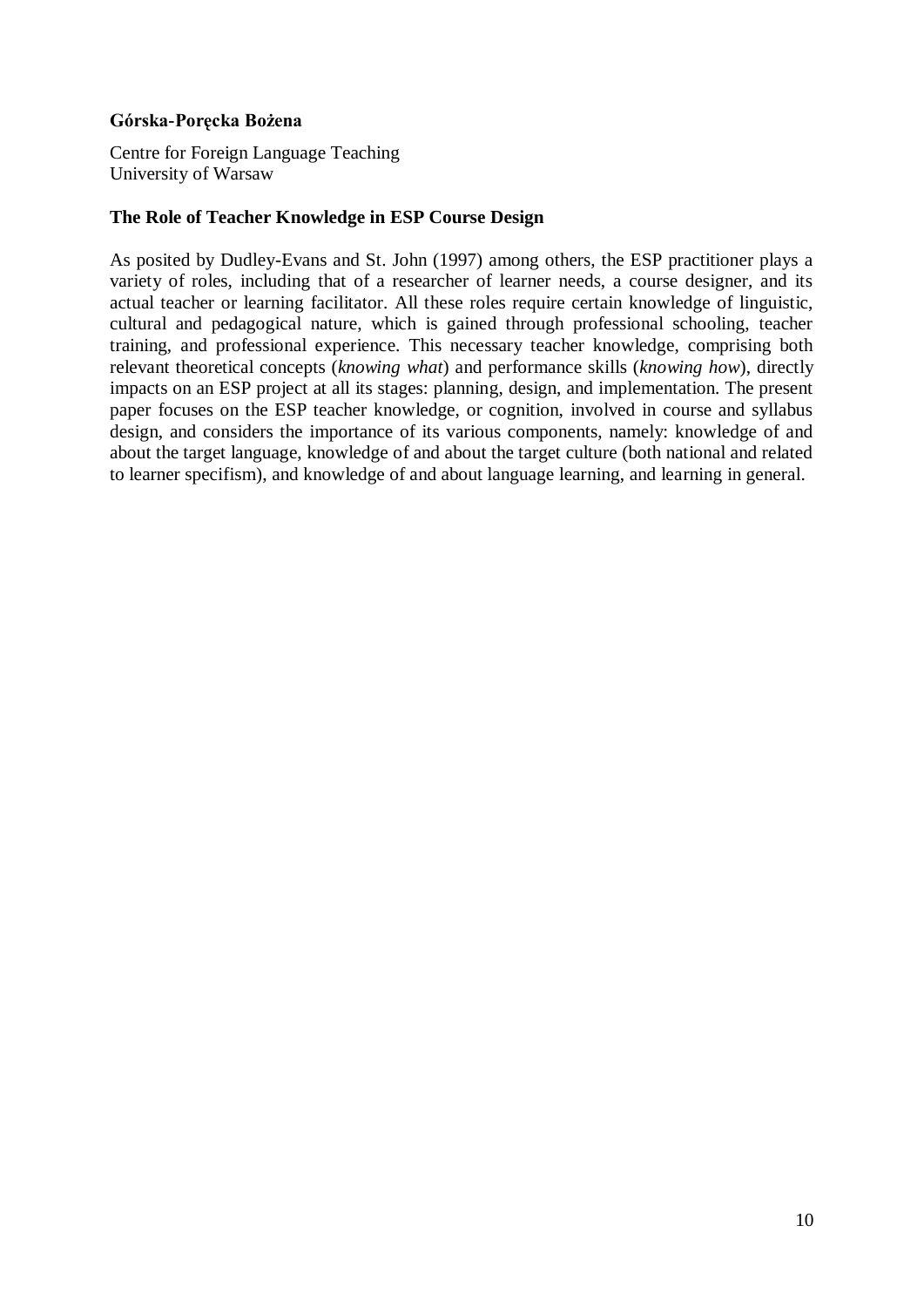## **Górska-Poręcka Bożena**

Centre for Foreign Language Teaching University of Warsaw

#### **The Role of Teacher Knowledge in ESP Course Design**

As posited by Dudley-Evans and St. John (1997) among others, the ESP practitioner plays a variety of roles, including that of a researcher of learner needs, a course designer, and its actual teacher or learning facilitator. All these roles require certain knowledge of linguistic, cultural and pedagogical nature, which is gained through professional schooling, teacher training, and professional experience. This necessary teacher knowledge, comprising both relevant theoretical concepts (*knowing what*) and performance skills (*knowing how*), directly impacts on an ESP project at all its stages: planning, design, and implementation. The present paper focuses on the ESP teacher knowledge, or cognition, involved in course and syllabus design, and considers the importance of its various components, namely: knowledge of and about the target language, knowledge of and about the target culture (both national and related to learner specifism), and knowledge of and about language learning, and learning in general.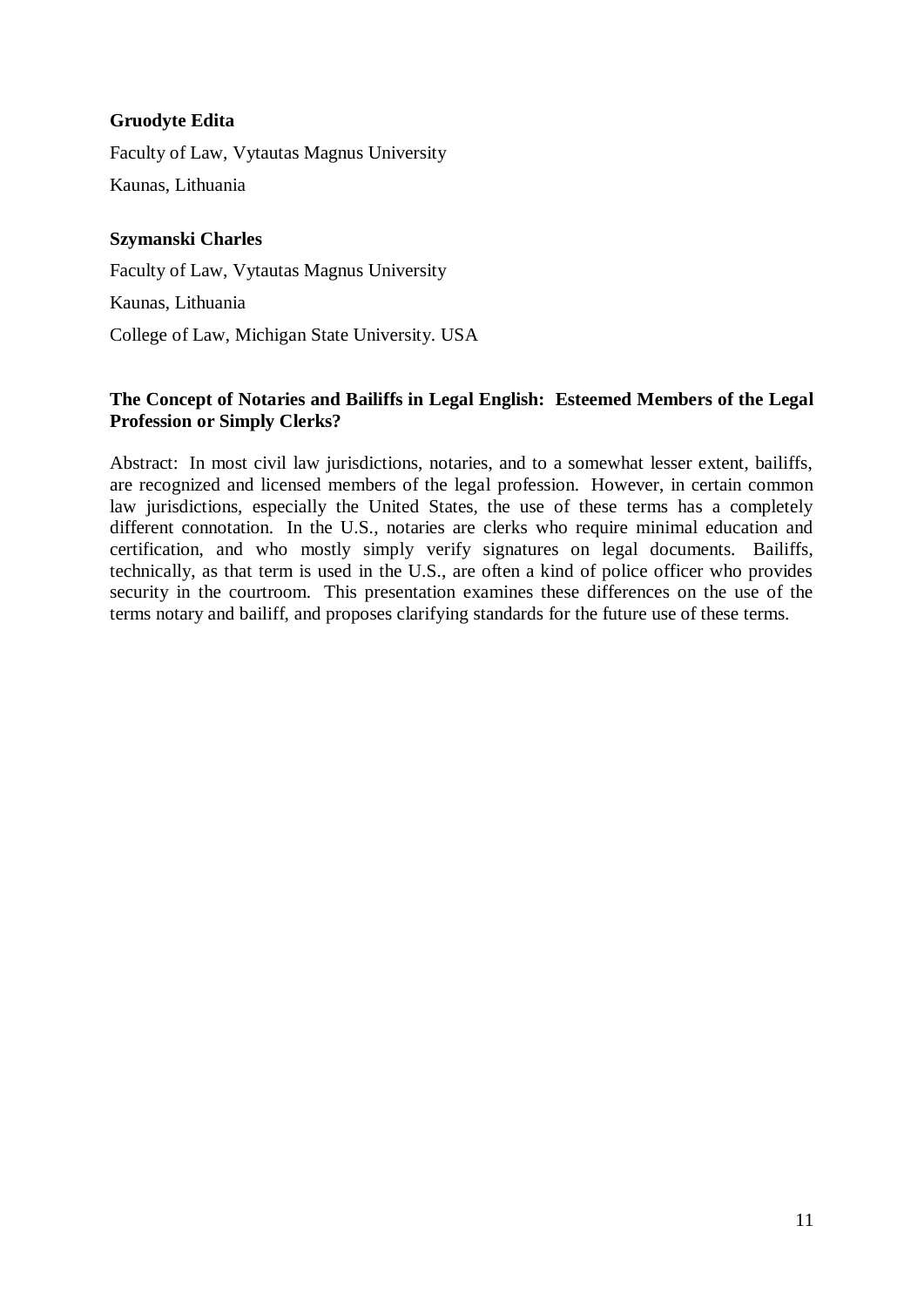# **Gruodyte Edita**

Faculty of Law, Vytautas Magnus University Kaunas, Lithuania

# **Szymanski Charles**

Faculty of Law, Vytautas Magnus University Kaunas, Lithuania College of Law, Michigan State University. USA

# **The Concept of Notaries and Bailiffs in Legal English: Esteemed Members of the Legal Profession or Simply Clerks?**

Abstract: In most civil law jurisdictions, notaries, and to a somewhat lesser extent, bailiffs, are recognized and licensed members of the legal profession. However, in certain common law jurisdictions, especially the United States, the use of these terms has a completely different connotation. In the U.S., notaries are clerks who require minimal education and certification, and who mostly simply verify signatures on legal documents. Bailiffs, technically, as that term is used in the U.S., are often a kind of police officer who provides security in the courtroom. This presentation examines these differences on the use of the terms notary and bailiff, and proposes clarifying standards for the future use of these terms.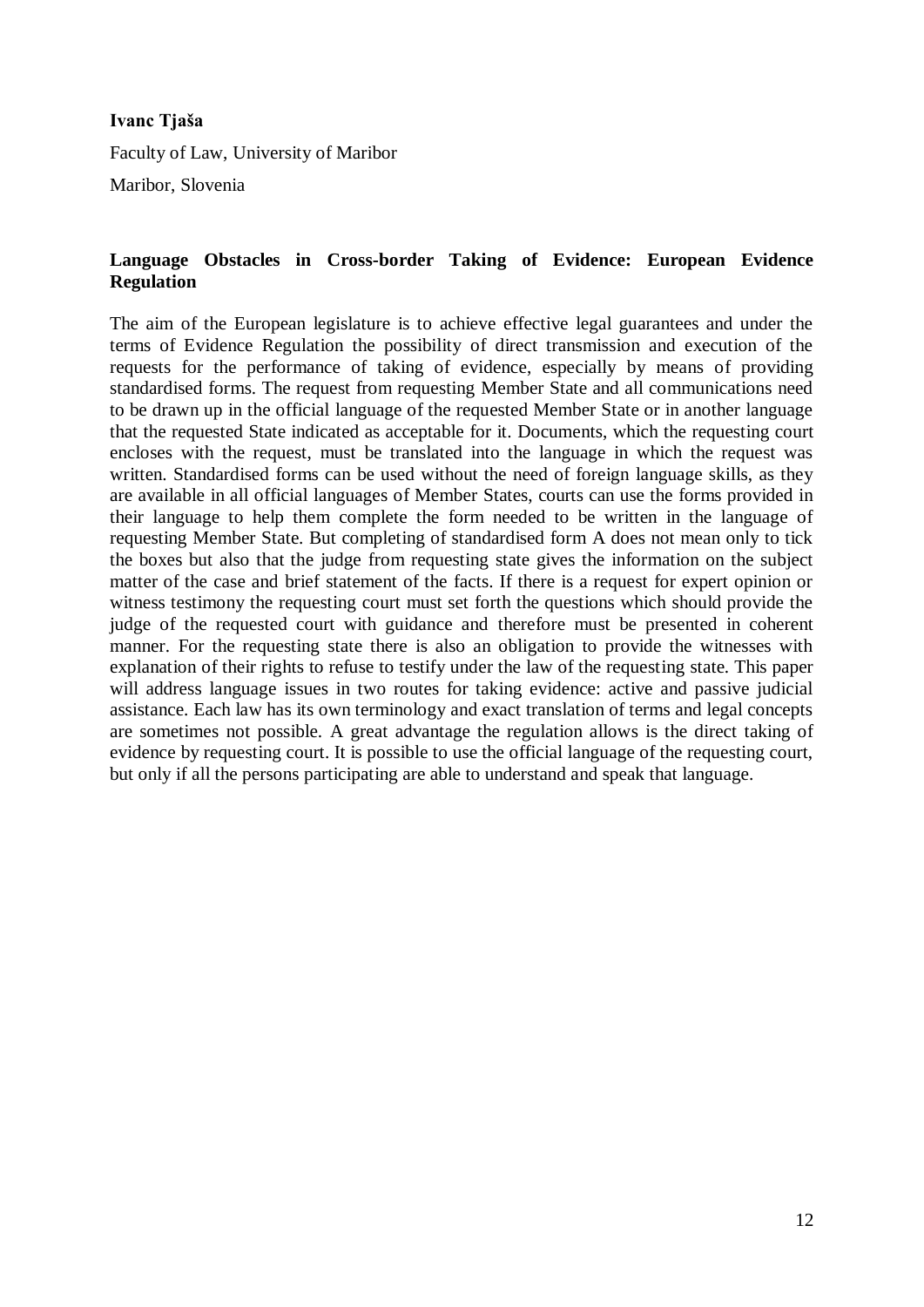#### **Ivanc Tjaša**

Faculty of Law, University of Maribor

Maribor, Slovenia

## **Language Obstacles in Cross-border Taking of Evidence: European Evidence Regulation**

The aim of the European legislature is to achieve effective legal guarantees and under the terms of Evidence Regulation the possibility of direct transmission and execution of the requests for the performance of taking of evidence, especially by means of providing standardised forms. The request from requesting Member State and all communications need to be drawn up in the official language of the requested Member State or in another language that the requested State indicated as acceptable for it. Documents, which the requesting court encloses with the request, must be translated into the language in which the request was written. Standardised forms can be used without the need of foreign language skills, as they are available in all official languages of Member States, courts can use the forms provided in their language to help them complete the form needed to be written in the language of requesting Member State. But completing of standardised form A does not mean only to tick the boxes but also that the judge from requesting state gives the information on the subject matter of the case and brief statement of the facts. If there is a request for expert opinion or witness testimony the requesting court must set forth the questions which should provide the judge of the requested court with guidance and therefore must be presented in coherent manner. For the requesting state there is also an obligation to provide the witnesses with explanation of their rights to refuse to testify under the law of the requesting state. This paper will address language issues in two routes for taking evidence: active and passive judicial assistance. Each law has its own terminology and exact translation of terms and legal concepts are sometimes not possible. A great advantage the regulation allows is the direct taking of evidence by requesting court. It is possible to use the official language of the requesting court, but only if all the persons participating are able to understand and speak that language.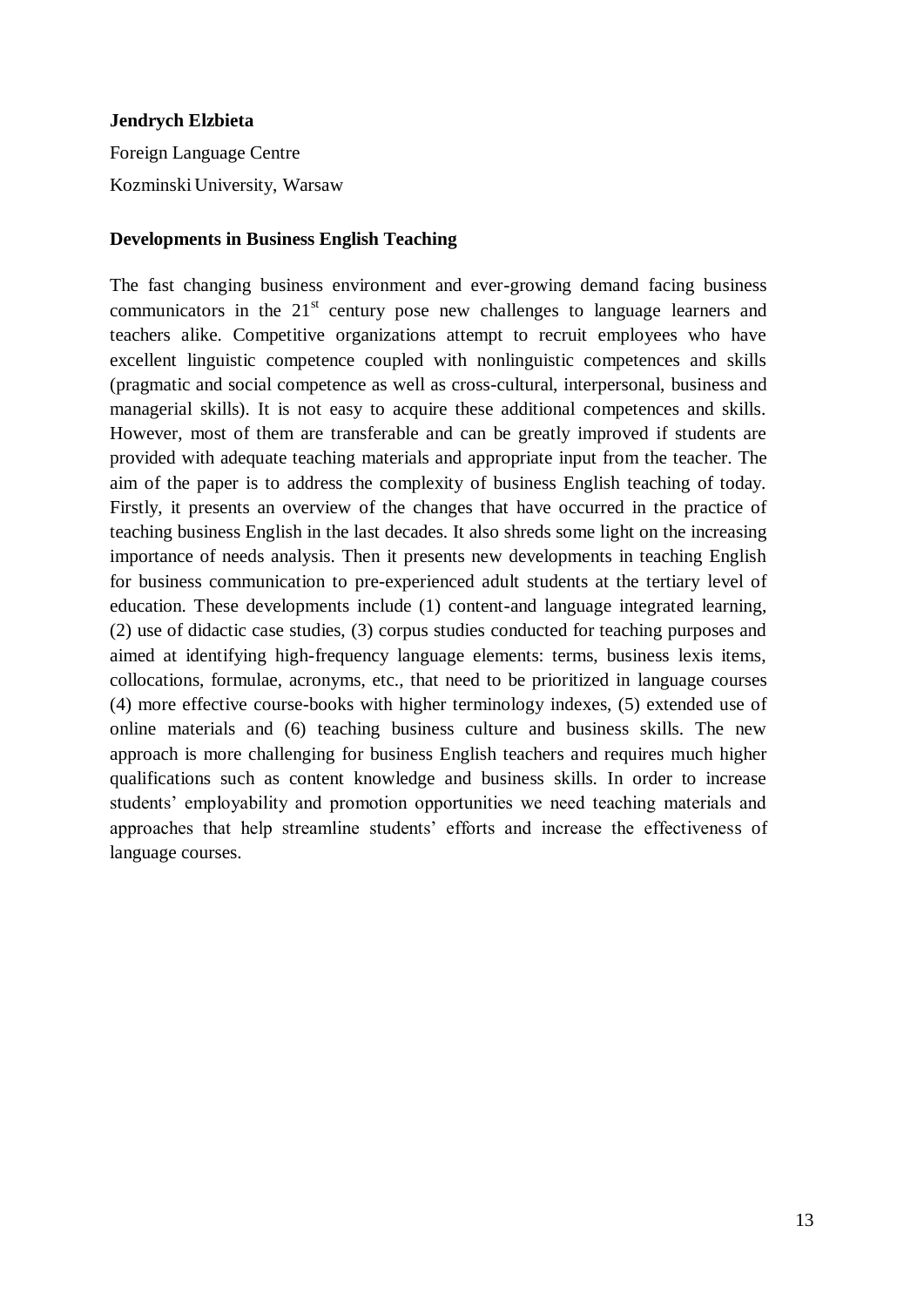#### **Jendrych Elzbieta**

Foreign Language Centre Kozminski University, Warsaw

#### **Developments in Business English Teaching**

The fast changing business environment and ever-growing demand facing business communicators in the  $21<sup>st</sup>$  century pose new challenges to language learners and teachers alike. Competitive organizations attempt to recruit employees who have excellent linguistic competence coupled with nonlinguistic competences and skills (pragmatic and social competence as well as cross-cultural, interpersonal, business and managerial skills). It is not easy to acquire these additional competences and skills. However, most of them are transferable and can be greatly improved if students are provided with adequate teaching materials and appropriate input from the teacher. The aim of the paper is to address the complexity of business English teaching of today. Firstly, it presents an overview of the changes that have occurred in the practice of teaching business English in the last decades. It also shreds some light on the increasing importance of needs analysis. Then it presents new developments in teaching English for business communication to pre-experienced adult students at the tertiary level of education. These developments include (1) content-and language integrated learning, (2) use of didactic case studies, (3) corpus studies conducted for teaching purposes and aimed at identifying high-frequency language elements: terms, business lexis items, collocations, formulae, acronyms, etc., that need to be prioritized in language courses (4) more effective course-books with higher terminology indexes, (5) extended use of online materials and (6) teaching business culture and business skills. The new approach is more challenging for business English teachers and requires much higher qualifications such as content knowledge and business skills. In order to increase students' employability and promotion opportunities we need teaching materials and approaches that help streamline students' efforts and increase the effectiveness of language courses.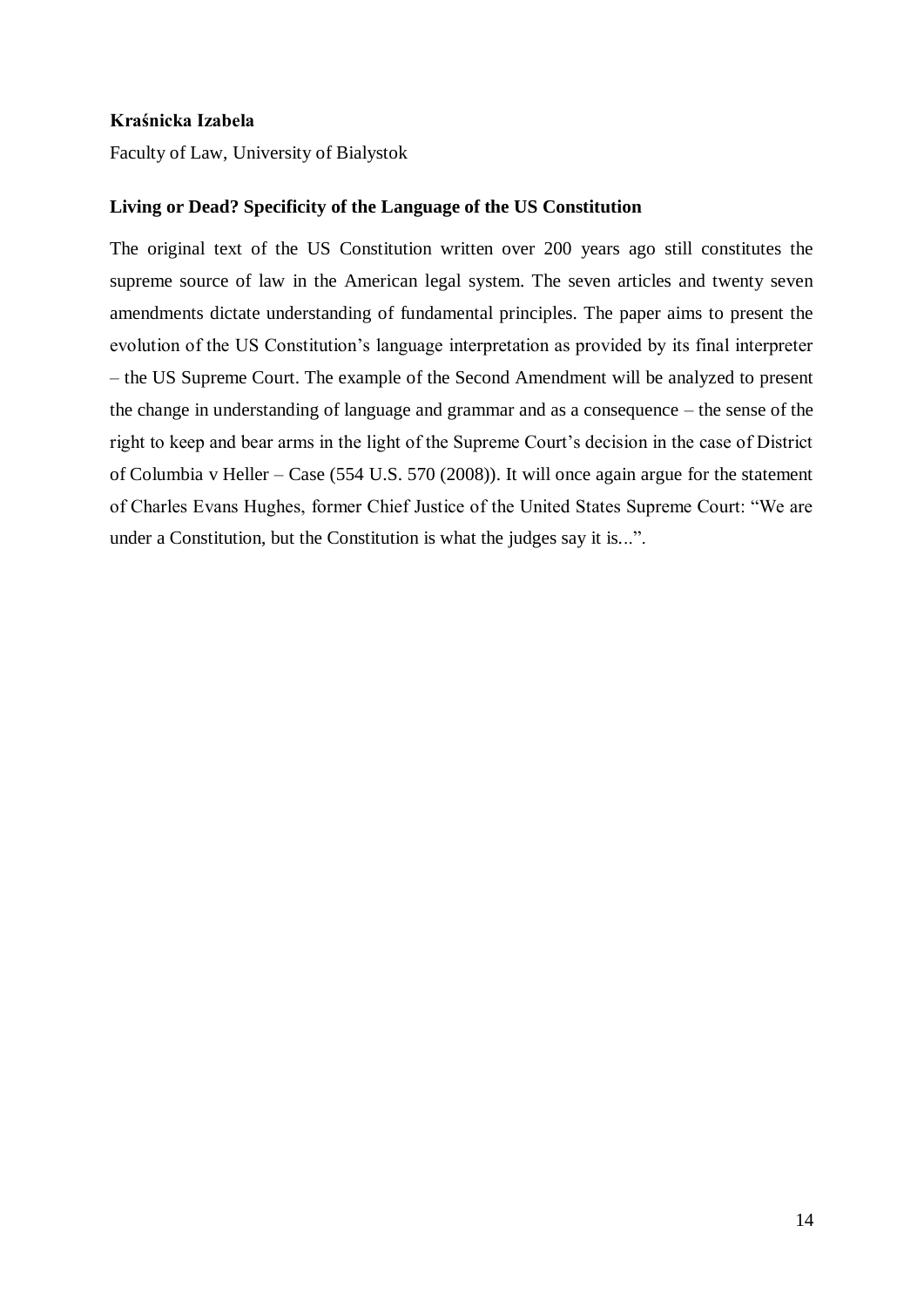#### **Kraśnicka Izabela**

Faculty of Law, University of Bialystok

#### **Living or Dead? Specificity of the Language of the US Constitution**

The original text of the US Constitution written over 200 years ago still constitutes the supreme source of law in the American legal system. The seven articles and twenty seven amendments dictate understanding of fundamental principles. The paper aims to present the evolution of the US Constitution's language interpretation as provided by its final interpreter – the US Supreme Court. The example of the Second Amendment will be analyzed to present the change in understanding of language and grammar and as a consequence – the sense of the right to keep and bear arms in the light of the Supreme Court's decision in the case of District of Columbia v Heller – Case (554 U.S. 570 (2008)). It will once again argue for the statement of Charles Evans Hughes, former Chief Justice of the United States Supreme Court: "We are under a Constitution, but the Constitution is what the judges say it is...".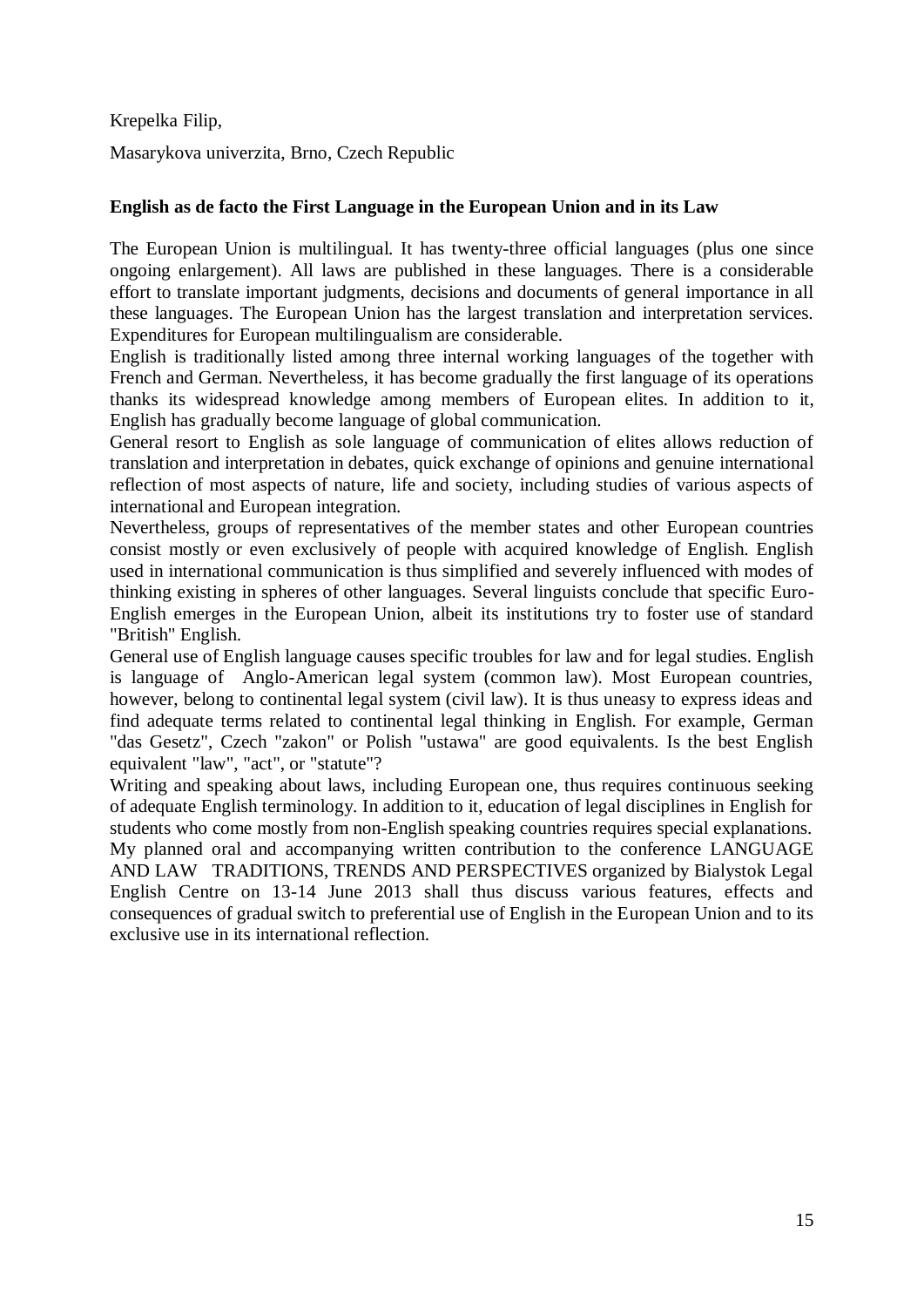Krepelka Filip,

Masarykova univerzita, Brno, Czech Republic

#### **English as de facto the First Language in the European Union and in its Law**

The European Union is multilingual. It has twenty-three official languages (plus one since ongoing enlargement). All laws are published in these languages. There is a considerable effort to translate important judgments, decisions and documents of general importance in all these languages. The European Union has the largest translation and interpretation services. Expenditures for European multilingualism are considerable.

English is traditionally listed among three internal working languages of the together with French and German. Nevertheless, it has become gradually the first language of its operations thanks its widespread knowledge among members of European elites. In addition to it, English has gradually become language of global communication.

General resort to English as sole language of communication of elites allows reduction of translation and interpretation in debates, quick exchange of opinions and genuine international reflection of most aspects of nature, life and society, including studies of various aspects of international and European integration.

Nevertheless, groups of representatives of the member states and other European countries consist mostly or even exclusively of people with acquired knowledge of English. English used in international communication is thus simplified and severely influenced with modes of thinking existing in spheres of other languages. Several linguists conclude that specific Euro-English emerges in the European Union, albeit its institutions try to foster use of standard "British" English.

General use of English language causes specific troubles for law and for legal studies. English is language of Anglo-American legal system (common law). Most European countries, however, belong to continental legal system (civil law). It is thus uneasy to express ideas and find adequate terms related to continental legal thinking in English. For example, German "das Gesetz", Czech "zakon" or Polish "ustawa" are good equivalents. Is the best English equivalent "law", "act", or "statute"?

Writing and speaking about laws, including European one, thus requires continuous seeking of adequate English terminology. In addition to it, education of legal disciplines in English for students who come mostly from non-English speaking countries requires special explanations. My planned oral and accompanying written contribution to the conference LANGUAGE AND LAW TRADITIONS, TRENDS AND PERSPECTIVES organized by Bialystok Legal English Centre on 13-14 June 2013 shall thus discuss various features, effects and consequences of gradual switch to preferential use of English in the European Union and to its exclusive use in its international reflection.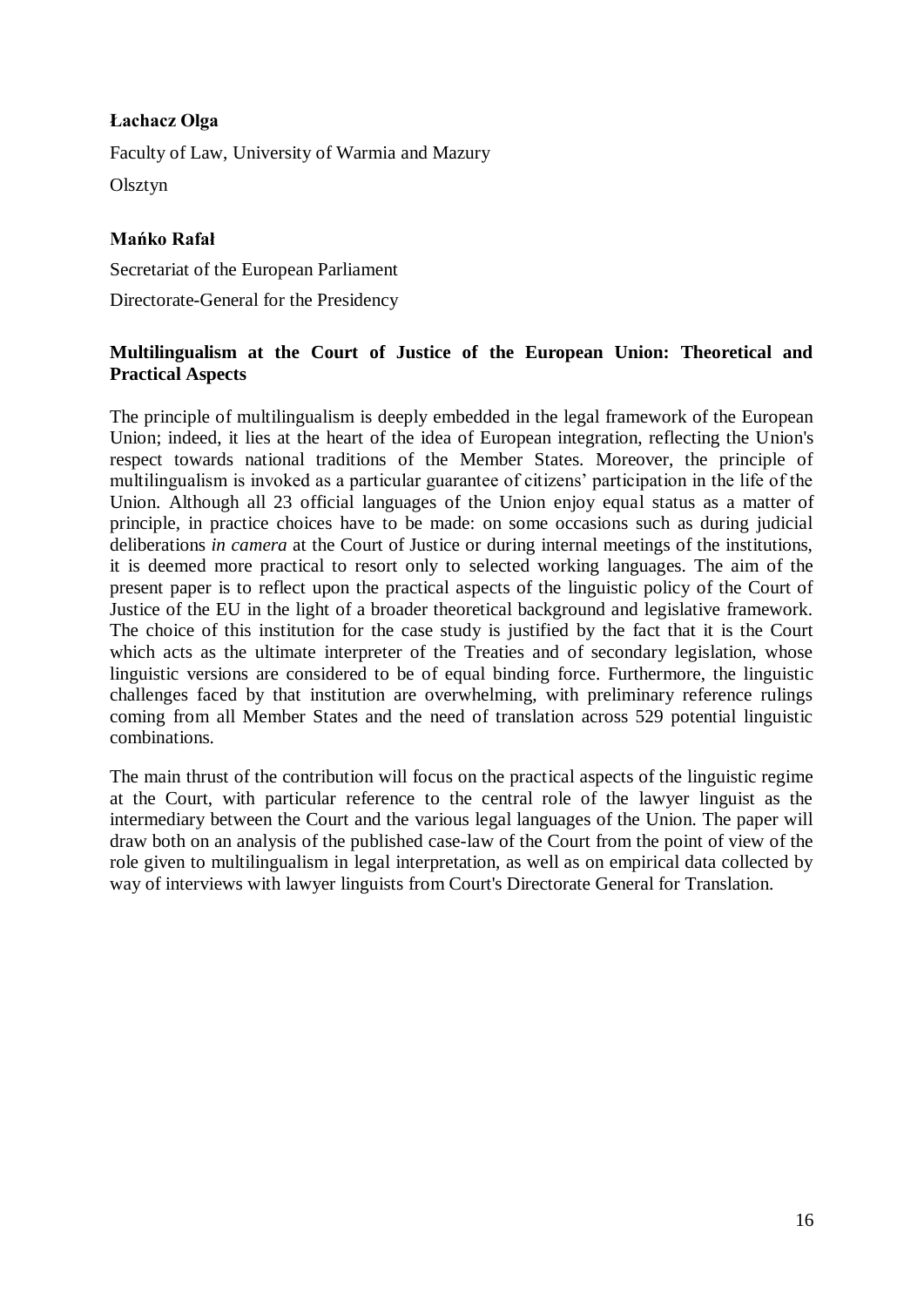# **Łachacz Olga**

Faculty of Law, University of Warmia and Mazury Olsztyn

# **Mańko Rafał**

Secretariat of the European Parliament Directorate-General for the Presidency

# **Multilingualism at the Court of Justice of the European Union: Theoretical and Practical Aspects**

The principle of multilingualism is deeply embedded in the legal framework of the European Union; indeed, it lies at the heart of the idea of European integration, reflecting the Union's respect towards national traditions of the Member States. Moreover, the principle of multilingualism is invoked as a particular guarantee of citizens' participation in the life of the Union. Although all 23 official languages of the Union enjoy equal status as a matter of principle, in practice choices have to be made: on some occasions such as during judicial deliberations *in camera* at the Court of Justice or during internal meetings of the institutions, it is deemed more practical to resort only to selected working languages. The aim of the present paper is to reflect upon the practical aspects of the linguistic policy of the Court of Justice of the EU in the light of a broader theoretical background and legislative framework. The choice of this institution for the case study is justified by the fact that it is the Court which acts as the ultimate interpreter of the Treaties and of secondary legislation, whose linguistic versions are considered to be of equal binding force. Furthermore, the linguistic challenges faced by that institution are overwhelming, with preliminary reference rulings coming from all Member States and the need of translation across 529 potential linguistic combinations.

The main thrust of the contribution will focus on the practical aspects of the linguistic regime at the Court, with particular reference to the central role of the lawyer linguist as the intermediary between the Court and the various legal languages of the Union. The paper will draw both on an analysis of the published case-law of the Court from the point of view of the role given to multilingualism in legal interpretation, as well as on empirical data collected by way of interviews with lawyer linguists from Court's Directorate General for Translation.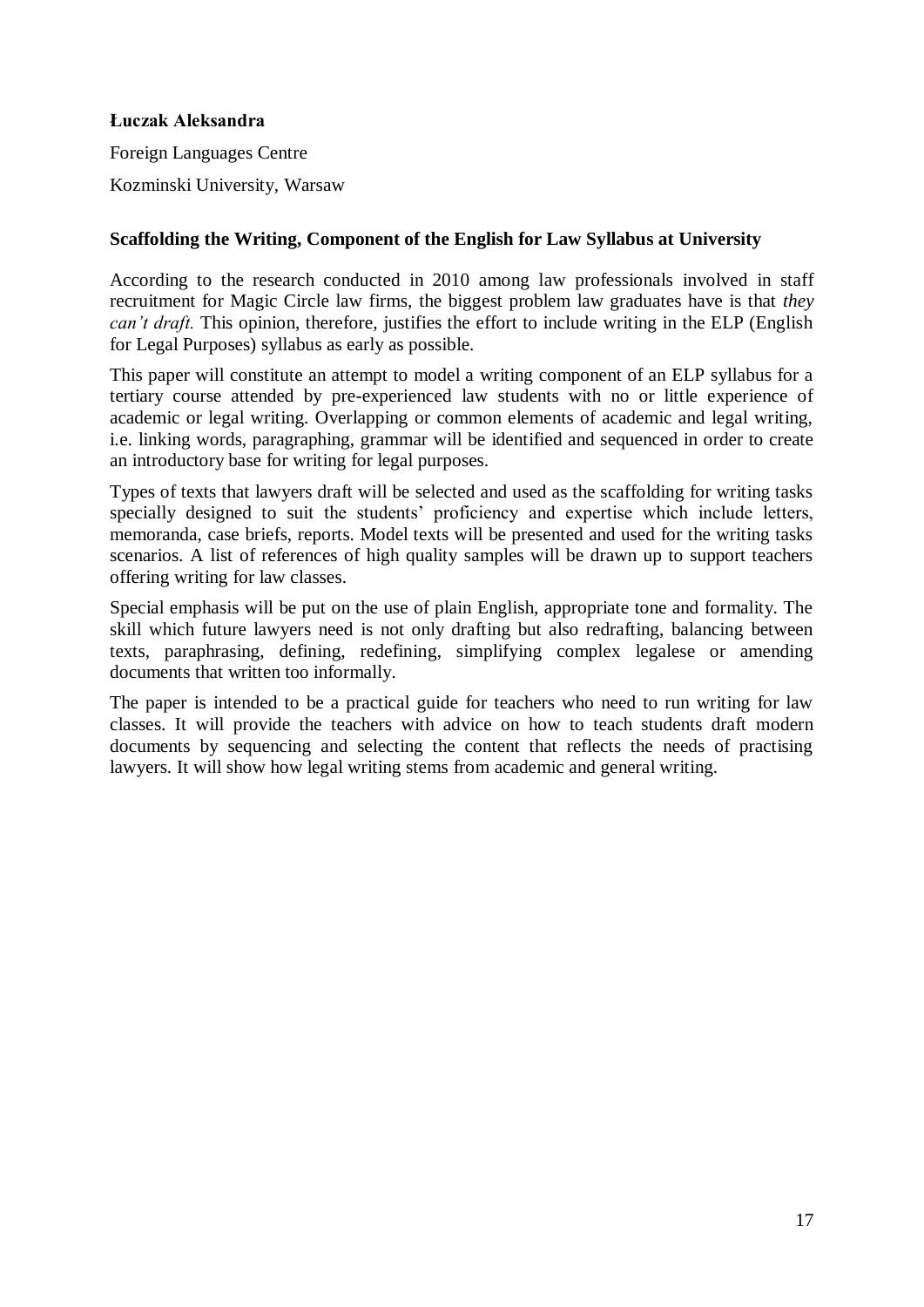## **Łuczak Aleksandra**

Foreign Languages Centre Kozminski University, Warsaw

## **Scaffolding the Writing, Component of the English for Law Syllabus at University**

According to the research conducted in 2010 among law professionals involved in staff recruitment for Magic Circle law firms, the biggest problem law graduates have is that *they can't draft.* This opinion, therefore, justifies the effort to include writing in the ELP (English for Legal Purposes) syllabus as early as possible.

This paper will constitute an attempt to model a writing component of an ELP syllabus for a tertiary course attended by pre-experienced law students with no or little experience of academic or legal writing. Overlapping or common elements of academic and legal writing, i.e. linking words, paragraphing, grammar will be identified and sequenced in order to create an introductory base for writing for legal purposes.

Types of texts that lawyers draft will be selected and used as the scaffolding for writing tasks specially designed to suit the students' proficiency and expertise which include letters, memoranda, case briefs, reports. Model texts will be presented and used for the writing tasks scenarios. A list of references of high quality samples will be drawn up to support teachers offering writing for law classes.

Special emphasis will be put on the use of plain English, appropriate tone and formality. The skill which future lawyers need is not only drafting but also redrafting, balancing between texts, paraphrasing, defining, redefining, simplifying complex legalese or amending documents that written too informally.

The paper is intended to be a practical guide for teachers who need to run writing for law classes. It will provide the teachers with advice on how to teach students draft modern documents by sequencing and selecting the content that reflects the needs of practising lawyers. It will show how legal writing stems from academic and general writing.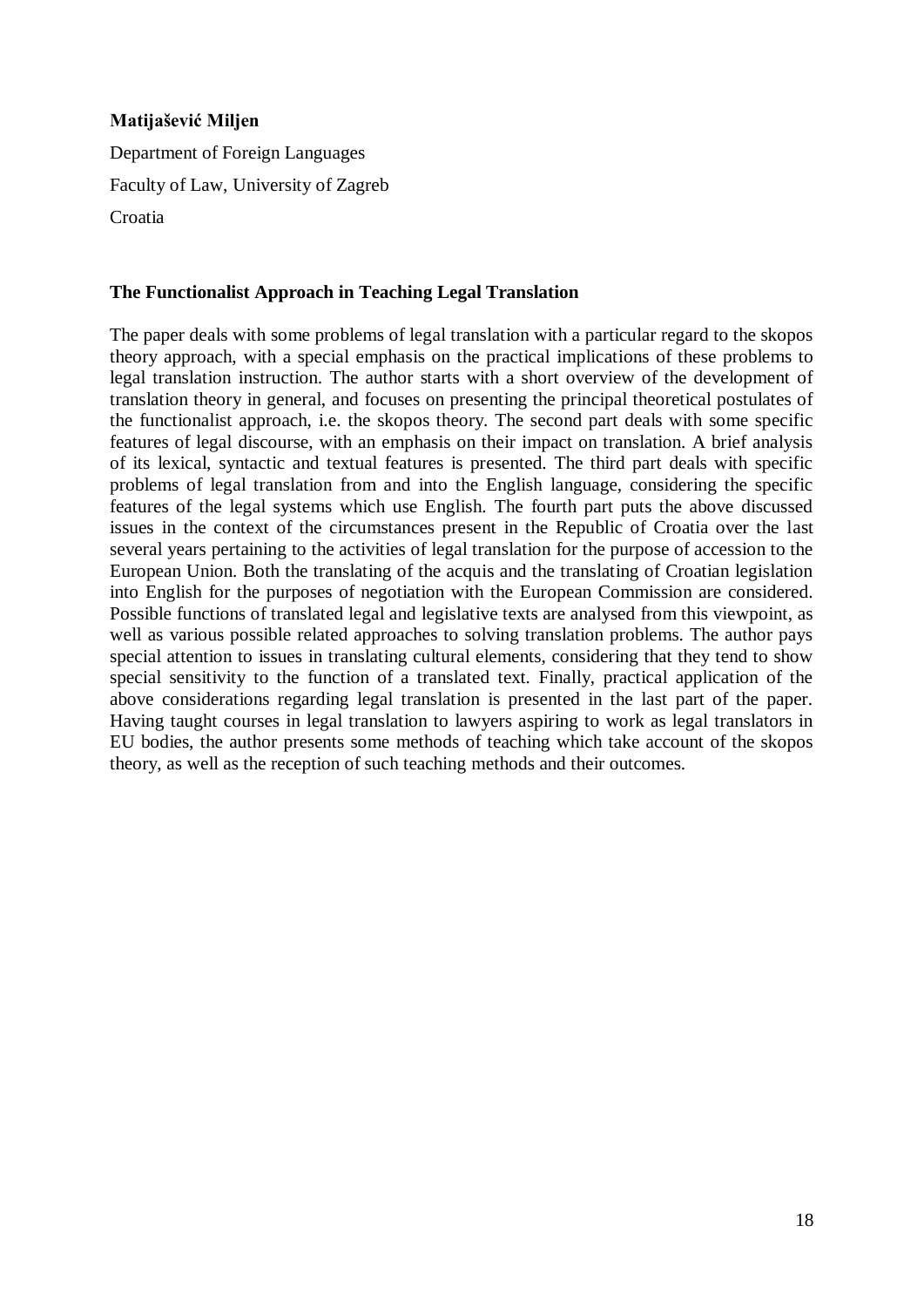# **Matijašević Miljen**

Department of Foreign Languages Faculty of Law, University of Zagreb Croatia

#### **The Functionalist Approach in Teaching Legal Translation**

The paper deals with some problems of legal translation with a particular regard to the skopos theory approach, with a special emphasis on the practical implications of these problems to legal translation instruction. The author starts with a short overview of the development of translation theory in general, and focuses on presenting the principal theoretical postulates of the functionalist approach, i.e. the skopos theory. The second part deals with some specific features of legal discourse, with an emphasis on their impact on translation. A brief analysis of its lexical, syntactic and textual features is presented. The third part deals with specific problems of legal translation from and into the English language, considering the specific features of the legal systems which use English. The fourth part puts the above discussed issues in the context of the circumstances present in the Republic of Croatia over the last several years pertaining to the activities of legal translation for the purpose of accession to the European Union. Both the translating of the acquis and the translating of Croatian legislation into English for the purposes of negotiation with the European Commission are considered. Possible functions of translated legal and legislative texts are analysed from this viewpoint, as well as various possible related approaches to solving translation problems. The author pays special attention to issues in translating cultural elements, considering that they tend to show special sensitivity to the function of a translated text. Finally, practical application of the above considerations regarding legal translation is presented in the last part of the paper. Having taught courses in legal translation to lawyers aspiring to work as legal translators in EU bodies, the author presents some methods of teaching which take account of the skopos theory, as well as the reception of such teaching methods and their outcomes.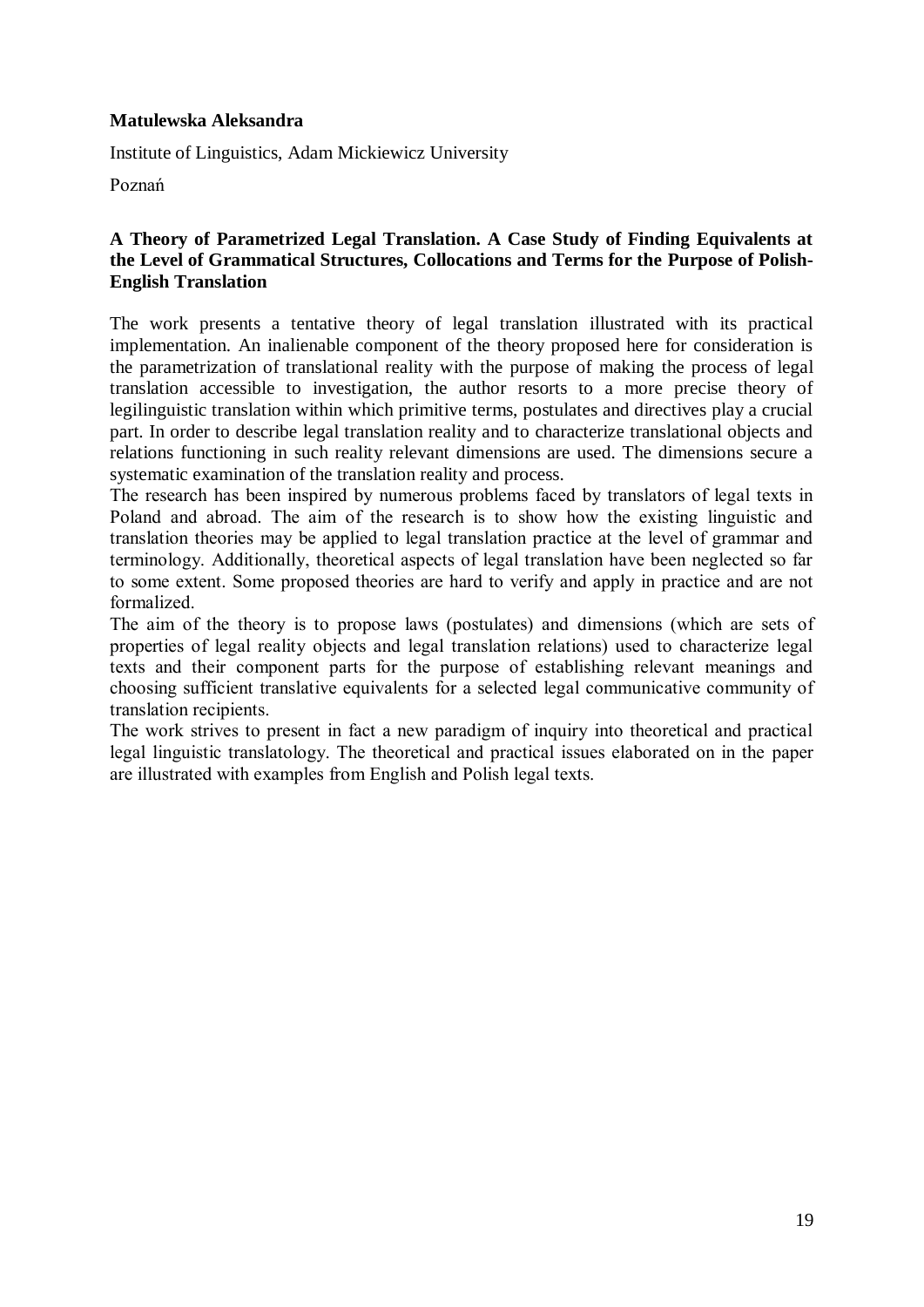## **Matulewska Aleksandra**

Institute of Linguistics, Adam Mickiewicz University

Poznań

#### **A Theory of Parametrized Legal Translation. A Case Study of Finding Equivalents at the Level of Grammatical Structures, Collocations and Terms for the Purpose of Polish-English Translation**

The work presents a tentative theory of legal translation illustrated with its practical implementation. An inalienable component of the theory proposed here for consideration is the parametrization of translational reality with the purpose of making the process of legal translation accessible to investigation, the author resorts to a more precise theory of legilinguistic translation within which primitive terms, postulates and directives play a crucial part. In order to describe legal translation reality and to characterize translational objects and relations functioning in such reality relevant dimensions are used. The dimensions secure a systematic examination of the translation reality and process.

The research has been inspired by numerous problems faced by translators of legal texts in Poland and abroad. The aim of the research is to show how the existing linguistic and translation theories may be applied to legal translation practice at the level of grammar and terminology. Additionally, theoretical aspects of legal translation have been neglected so far to some extent. Some proposed theories are hard to verify and apply in practice and are not formalized.

The aim of the theory is to propose laws (postulates) and dimensions (which are sets of properties of legal reality objects and legal translation relations) used to characterize legal texts and their component parts for the purpose of establishing relevant meanings and choosing sufficient translative equivalents for a selected legal communicative community of translation recipients.

The work strives to present in fact a new paradigm of inquiry into theoretical and practical legal linguistic translatology. The theoretical and practical issues elaborated on in the paper are illustrated with examples from English and Polish legal texts.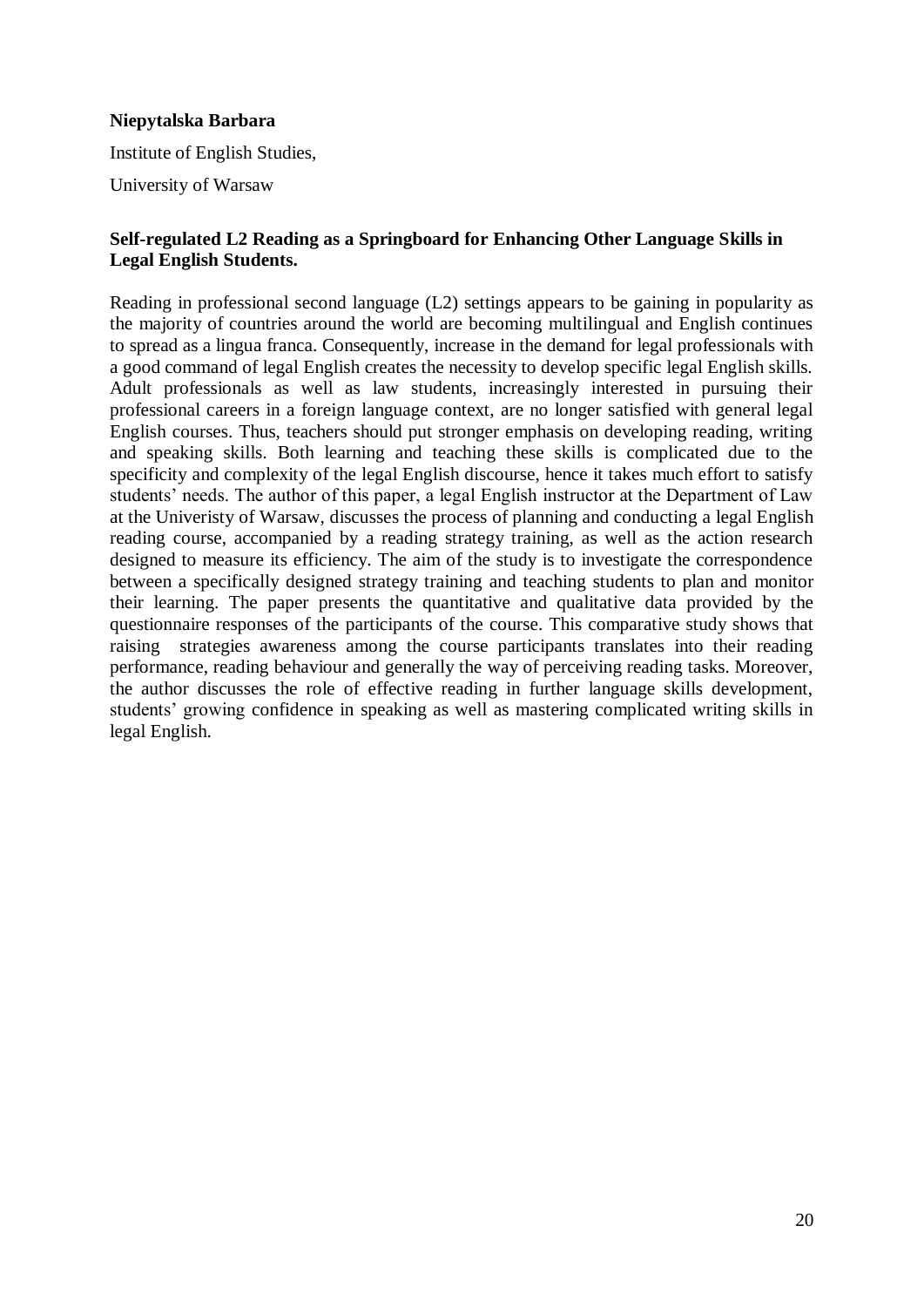## **Niepytalska Barbara**

Institute of English Studies,

University of Warsaw

## **Self-regulated L2 Reading as a Springboard for Enhancing Other Language Skills in Legal English Students.**

Reading in professional second language (L2) settings appears to be gaining in popularity as the majority of countries around the world are becoming multilingual and English continues to spread as a lingua franca. Consequently, increase in the demand for legal professionals with a good command of legal English creates the necessity to develop specific legal English skills. Adult professionals as well as law students, increasingly interested in pursuing their professional careers in a foreign language context, are no longer satisfied with general legal English courses. Thus, teachers should put stronger emphasis on developing reading, writing and speaking skills. Both learning and teaching these skills is complicated due to the specificity and complexity of the legal English discourse, hence it takes much effort to satisfy students' needs. The author of this paper, a legal English instructor at the Department of Law at the Univeristy of Warsaw, discusses the process of planning and conducting a legal English reading course, accompanied by a reading strategy training, as well as the action research designed to measure its efficiency. The aim of the study is to investigate the correspondence between a specifically designed strategy training and teaching students to plan and monitor their learning. The paper presents the quantitative and qualitative data provided by the questionnaire responses of the participants of the course. This comparative study shows that raising strategies awareness among the course participants translates into their reading performance, reading behaviour and generally the way of perceiving reading tasks. Moreover, the author discusses the role of effective reading in further language skills development, students' growing confidence in speaking as well as mastering complicated writing skills in legal English.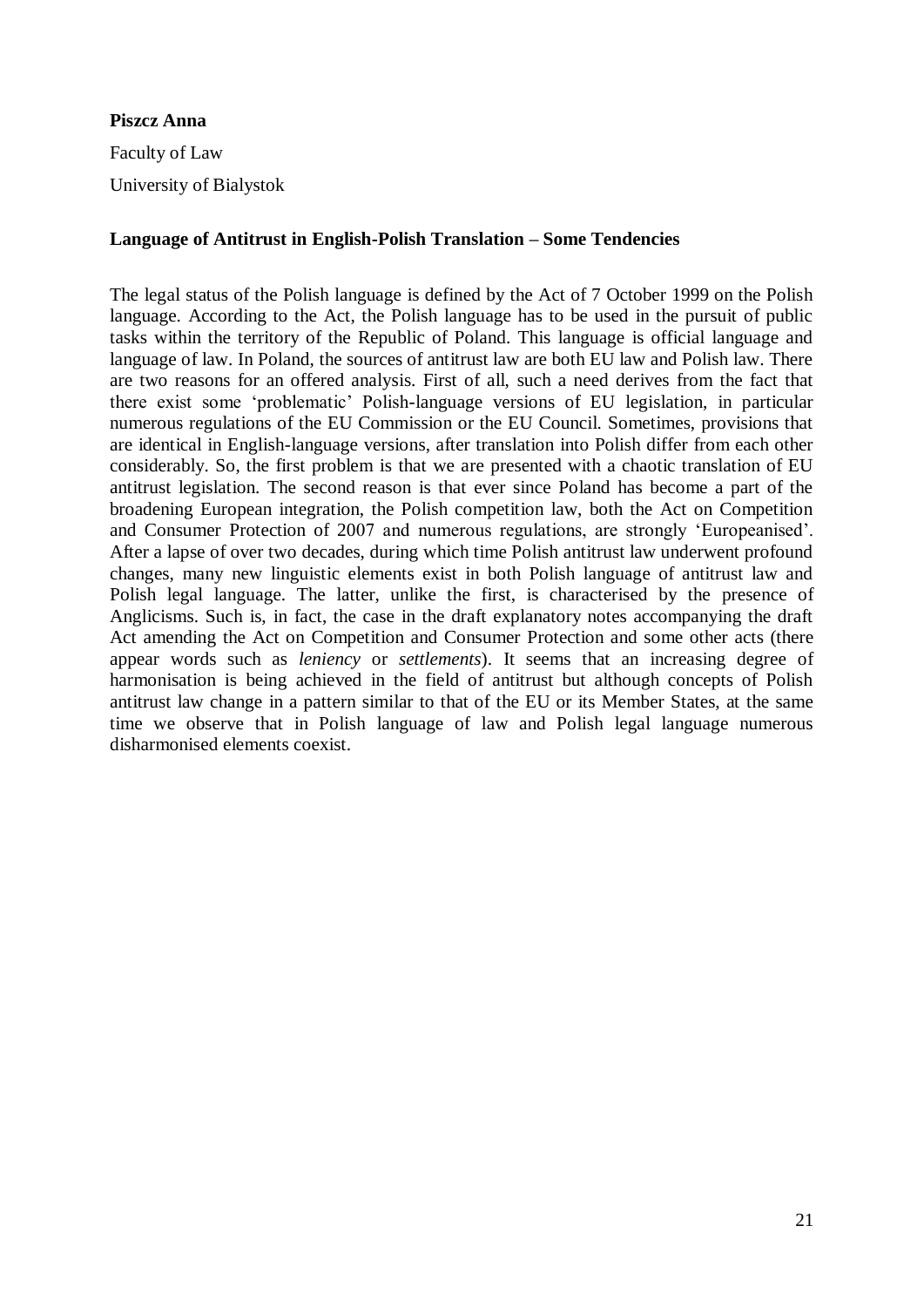# **Piszcz Anna**

Faculty of Law University of Bialystok

# **Language of Antitrust in English-Polish Translation – Some Tendencies**

The legal status of the Polish language is defined by the Act of 7 October 1999 on the Polish language. According to the Act, the Polish language has to be used in the pursuit of public tasks within the territory of the Republic of Poland. This language is official language and language of law. In Poland, the sources of antitrust law are both EU law and Polish law. There are two reasons for an offered analysis. First of all, such a need derives from the fact that there exist some 'problematic' Polish-language versions of EU legislation, in particular numerous regulations of the EU Commission or the EU Council. Sometimes, provisions that are identical in English-language versions, after translation into Polish differ from each other considerably. So, the first problem is that we are presented with a chaotic translation of EU antitrust legislation. The second reason is that ever since Poland has become a part of the broadening European integration, the Polish competition law, both the Act on Competition and Consumer Protection of 2007 and numerous regulations, are strongly 'Europeanised'. After a lapse of over two decades, during which time Polish antitrust law underwent profound changes, many new linguistic elements exist in both Polish language of antitrust law and Polish legal language. The latter, unlike the first, is characterised by the presence of Anglicisms. Such is, in fact, the case in the draft explanatory notes accompanying the draft Act amending the Act on Competition and Consumer Protection and some other acts (there appear words such as *leniency* or *settlements*). It seems that an increasing degree of harmonisation is being achieved in the field of antitrust but although concepts of Polish antitrust law change in a pattern similar to that of the EU or its Member States, at the same time we observe that in Polish language of law and Polish legal language numerous disharmonised elements coexist.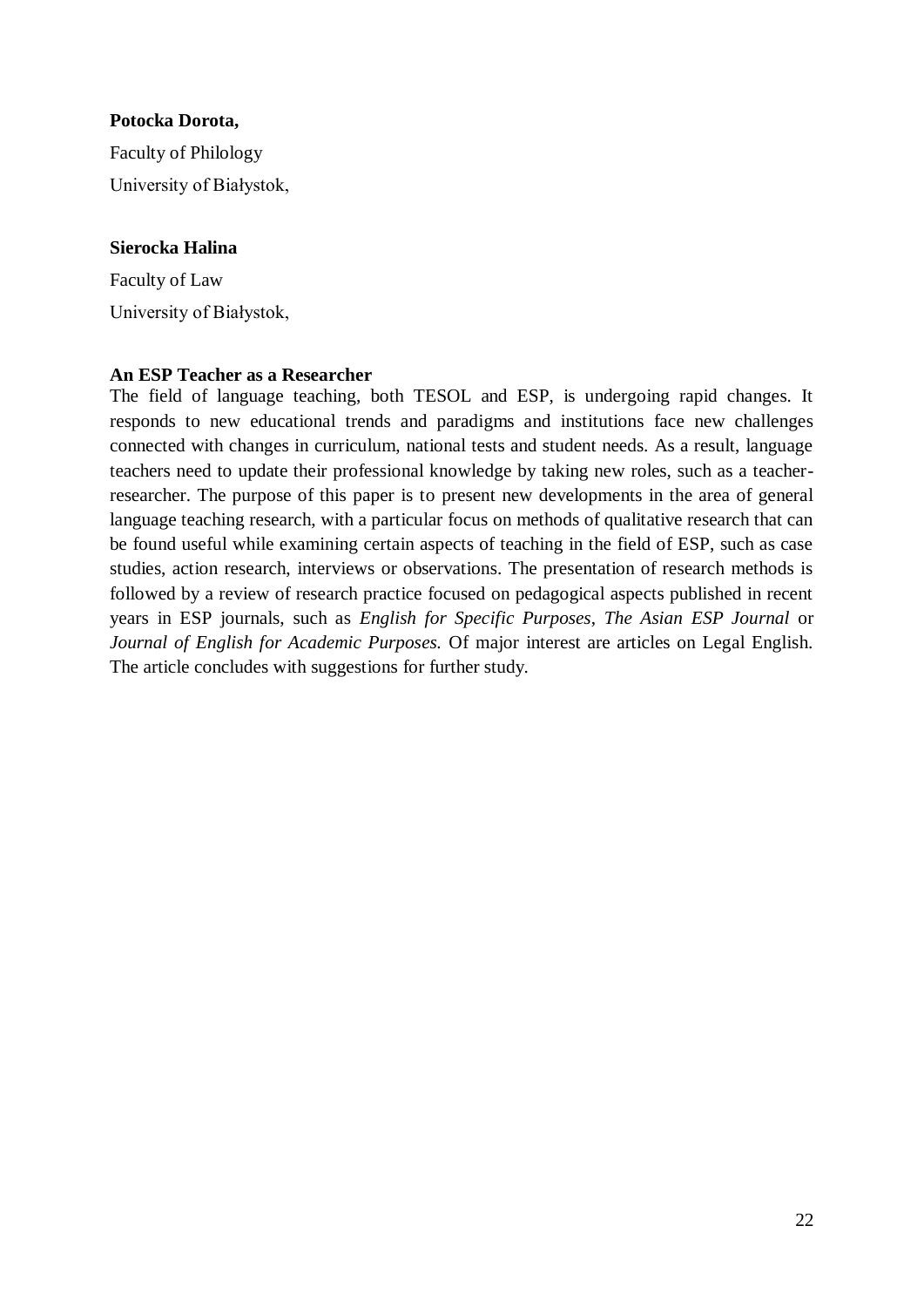#### **Potocka Dorota,**

Faculty of Philology University of Białystok,

#### **Sierocka Halina**

Faculty of Law University of Białystok,

#### **An ESP Teacher as a Researcher**

The field of language teaching, both TESOL and ESP, is undergoing rapid changes. It responds to new educational trends and paradigms and institutions face new challenges connected with changes in curriculum, national tests and student needs. As a result, language teachers need to update their professional knowledge by taking new roles, such as a teacherresearcher. The purpose of this paper is to present new developments in the area of general language teaching research, with a particular focus on methods of qualitative research that can be found useful while examining certain aspects of teaching in the field of ESP, such as case studies, action research, interviews or observations. The presentation of research methods is followed by a review of research practice focused on pedagogical aspects published in recent years in ESP journals, such as *English for Specific Purposes*, *The Asian ESP Journal* or *Journal of English for Academic Purposes.* Of major interest are articles on Legal English. The article concludes with suggestions for further study.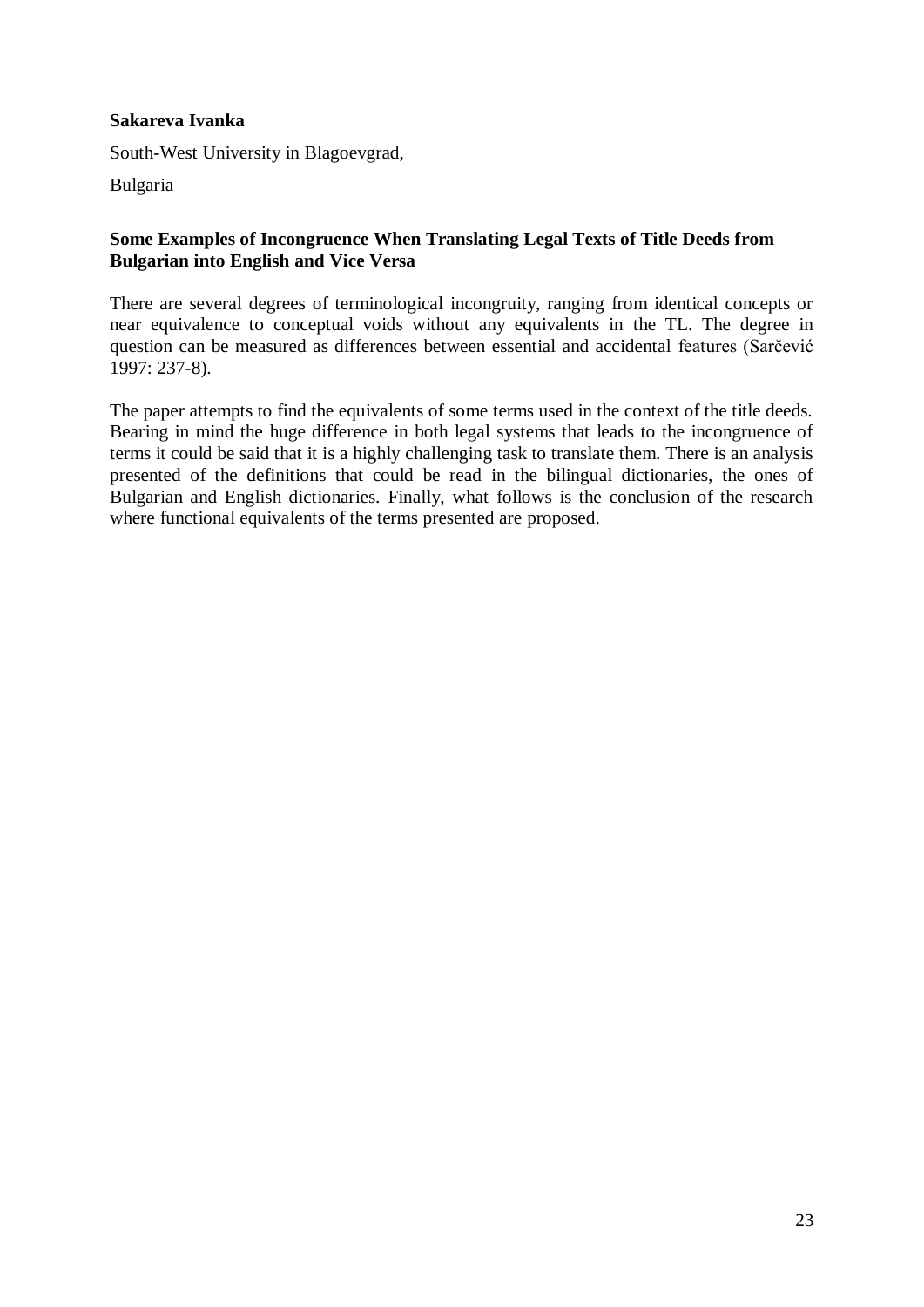## **Sakareva Ivanka**

South-West University in Blagoevgrad,

Bulgaria

#### **Some Examples of Incongruence When Translating Legal Texts of Title Deeds from Bulgarian into English and Vice Versa**

There are several degrees of terminological incongruity, ranging from identical concepts or near equivalence to conceptual voids without any equivalents in the TL. The degree in question can be measured as differences between essential and accidental features (Sarčević 1997: 237-8).

The paper attempts to find the equivalents of some terms used in the context of the title deeds. Bearing in mind the huge difference in both legal systems that leads to the incongruence of terms it could be said that it is a highly challenging task to translate them. There is an analysis presented of the definitions that could be read in the bilingual dictionaries, the ones of Bulgarian and English dictionaries. Finally, what follows is the conclusion of the research where functional equivalents of the terms presented are proposed.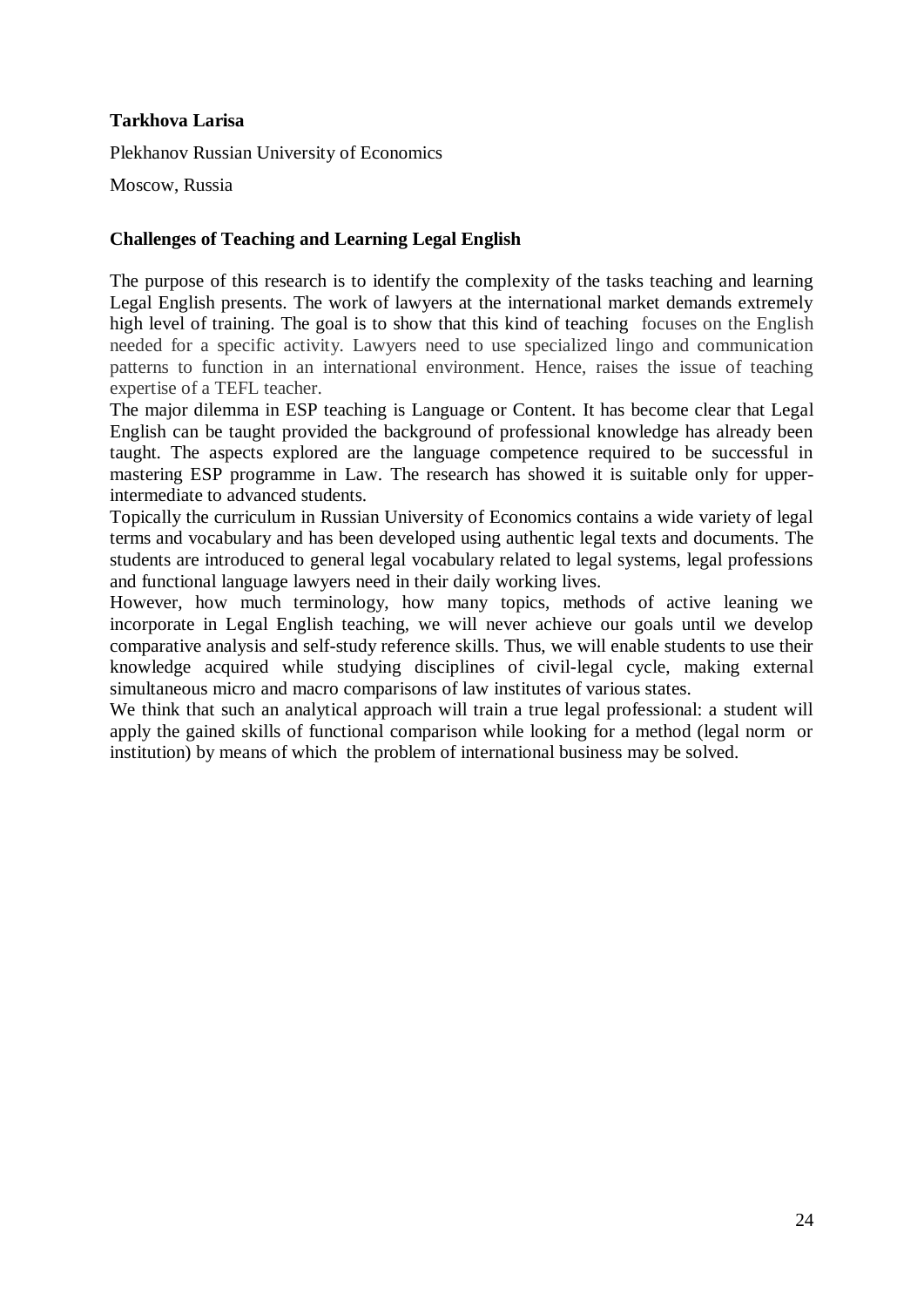# **Tarkhova Larisa**

Plekhanov Russian University of Economics

Moscow, Russia

# **Challenges of Teaching and Learning Legal English**

The purpose of this research is to identify the complexity of the tasks teaching and learning Legal English presents. The work of lawyers at the international market demands extremely high level of training. The goal is to show that this kind of teaching focuses on the English needed for a specific activity. Lawyers need to use specialized lingo and communication patterns to function in an international environment. Hence, raises the issue of teaching expertise of a TEFL teacher.

The major dilemma in ESP teaching is Language or Content. It has become clear that Legal English can be taught provided the background of professional knowledge has already been taught. The aspects explored are the language competence required to be successful in mastering ESP programme in Law. The research has showed it is suitable only for upperintermediate to advanced students.

Topically the curriculum in Russian University of Economics contains a wide variety of legal terms and vocabulary and has been developed using authentic legal texts and documents. The students are introduced to general legal vocabulary related to legal systems, legal professions and functional language lawyers need in their daily working lives.

However, how much terminology, how many topics, methods of active leaning we incorporate in Legal English teaching, we will never achieve our goals until we develop comparative analysis and self-study reference skills. Thus, we will enable students to use their knowledge acquired while studying disciplines of civil-legal cycle, making external simultaneous micro and macro comparisons of law institutes of various states.

We think that such an analytical approach will train a true legal professional: a student will apply the gained skills of functional comparison while looking for a method (legal norm or institution) by means of which the problem of international business may be solved.